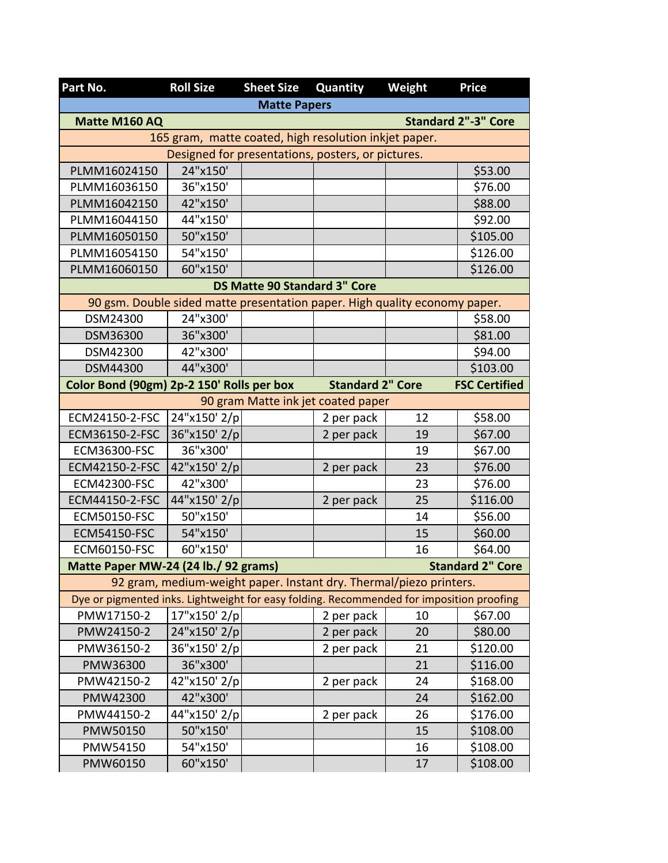| Part No.                                                                                 | <b>Roll Size</b>                                                   | <b>Sheet Size</b>                   | Quantity                | Weight | <b>Price</b>            |  |  |  |
|------------------------------------------------------------------------------------------|--------------------------------------------------------------------|-------------------------------------|-------------------------|--------|-------------------------|--|--|--|
| <b>Matte Papers</b>                                                                      |                                                                    |                                     |                         |        |                         |  |  |  |
| <b>Standard 2"-3" Core</b><br>Matte M160 AQ                                              |                                                                    |                                     |                         |        |                         |  |  |  |
|                                                                                          | 165 gram, matte coated, high resolution inkjet paper.              |                                     |                         |        |                         |  |  |  |
| Designed for presentations, posters, or pictures.                                        |                                                                    |                                     |                         |        |                         |  |  |  |
| PLMM16024150                                                                             | 24"x150'                                                           |                                     |                         |        | \$53.00                 |  |  |  |
| PLMM16036150                                                                             | 36"x150'                                                           |                                     |                         |        | \$76.00                 |  |  |  |
| PLMM16042150                                                                             | 42"x150'                                                           |                                     |                         |        | \$88.00                 |  |  |  |
| PLMM16044150                                                                             | 44"x150'                                                           |                                     |                         |        | \$92.00                 |  |  |  |
| PLMM16050150                                                                             | 50"x150'                                                           |                                     |                         |        | \$105.00                |  |  |  |
| PLMM16054150                                                                             | 54"x150'                                                           |                                     |                         |        | \$126.00                |  |  |  |
| PLMM16060150                                                                             | 60"x150'                                                           |                                     |                         |        | \$126.00                |  |  |  |
|                                                                                          |                                                                    | <b>DS Matte 90 Standard 3" Core</b> |                         |        |                         |  |  |  |
| 90 gsm. Double sided matte presentation paper. High quality economy paper.               |                                                                    |                                     |                         |        |                         |  |  |  |
| DSM24300                                                                                 | 24"x300'                                                           |                                     |                         |        | \$58.00                 |  |  |  |
| DSM36300                                                                                 | 36"x300'                                                           |                                     |                         |        | \$81.00                 |  |  |  |
| DSM42300                                                                                 | 42"x300'                                                           |                                     |                         |        | \$94.00                 |  |  |  |
| DSM44300                                                                                 | 44"x300'                                                           |                                     |                         |        | \$103.00                |  |  |  |
| Color Bond (90gm) 2p-2 150' Rolls per box                                                |                                                                    |                                     | <b>Standard 2" Core</b> |        | <b>FSC Certified</b>    |  |  |  |
| 90 gram Matte ink jet coated paper                                                       |                                                                    |                                     |                         |        |                         |  |  |  |
| ECM24150-2-FSC                                                                           | 24"x150' 2/p                                                       |                                     | 2 per pack              | 12     | \$58.00                 |  |  |  |
| ECM36150-2-FSC                                                                           | 36"x150' 2/p                                                       |                                     | 2 per pack              | 19     | \$67.00                 |  |  |  |
| ECM36300-FSC                                                                             | 36"x300'                                                           |                                     |                         | 19     | \$67.00                 |  |  |  |
| ECM42150-2-FSC                                                                           | 42"x150' 2/p                                                       |                                     | 2 per pack              | 23     | \$76.00                 |  |  |  |
| <b>ECM42300-FSC</b>                                                                      | 42"x300'                                                           |                                     |                         | 23     | \$76.00                 |  |  |  |
| ECM44150-2-FSC                                                                           | 44"x150' 2/p                                                       |                                     | 2 per pack              | 25     | \$116.00                |  |  |  |
| <b>ECM50150-FSC</b>                                                                      | 50"x150'                                                           |                                     |                         | 14     | \$56.00                 |  |  |  |
| <b>ECM54150-FSC</b>                                                                      | 54"x150'                                                           |                                     |                         | 15     | \$60.00                 |  |  |  |
| <b>ECM60150-FSC</b>                                                                      | 60"x150'                                                           |                                     |                         | 16     | \$64.00                 |  |  |  |
| Matte Paper MW-24 (24 lb./ 92 grams)                                                     |                                                                    |                                     |                         |        | <b>Standard 2" Core</b> |  |  |  |
|                                                                                          | 92 gram, medium-weight paper. Instant dry. Thermal/piezo printers. |                                     |                         |        |                         |  |  |  |
| Dye or pigmented inks. Lightweight for easy folding. Recommended for imposition proofing |                                                                    |                                     |                         |        |                         |  |  |  |
| PMW17150-2                                                                               | 17"x150' 2/p                                                       |                                     | 2 per pack              | 10     | \$67.00                 |  |  |  |
| PMW24150-2                                                                               | 24"x150' 2/p                                                       |                                     | 2 per pack              | 20     | \$80.00                 |  |  |  |
| PMW36150-2                                                                               | 36"x150' 2/p                                                       |                                     | 2 per pack              | 21     | \$120.00                |  |  |  |
| PMW36300                                                                                 | 36"x300'                                                           |                                     |                         | 21     | \$116.00                |  |  |  |
| PMW42150-2                                                                               | 42"x150' 2/p                                                       |                                     | 2 per pack              | 24     | \$168.00                |  |  |  |
| PMW42300                                                                                 | 42"x300'                                                           |                                     |                         | 24     | \$162.00                |  |  |  |
| PMW44150-2                                                                               | 44"x150' 2/p                                                       |                                     | 2 per pack              | 26     | \$176.00                |  |  |  |
| PMW50150                                                                                 | 50"x150'                                                           |                                     |                         | 15     | \$108.00                |  |  |  |
| PMW54150                                                                                 | 54"x150'                                                           |                                     |                         | 16     | \$108.00                |  |  |  |
| PMW60150                                                                                 | 60"x150'                                                           |                                     |                         | 17     | \$108.00                |  |  |  |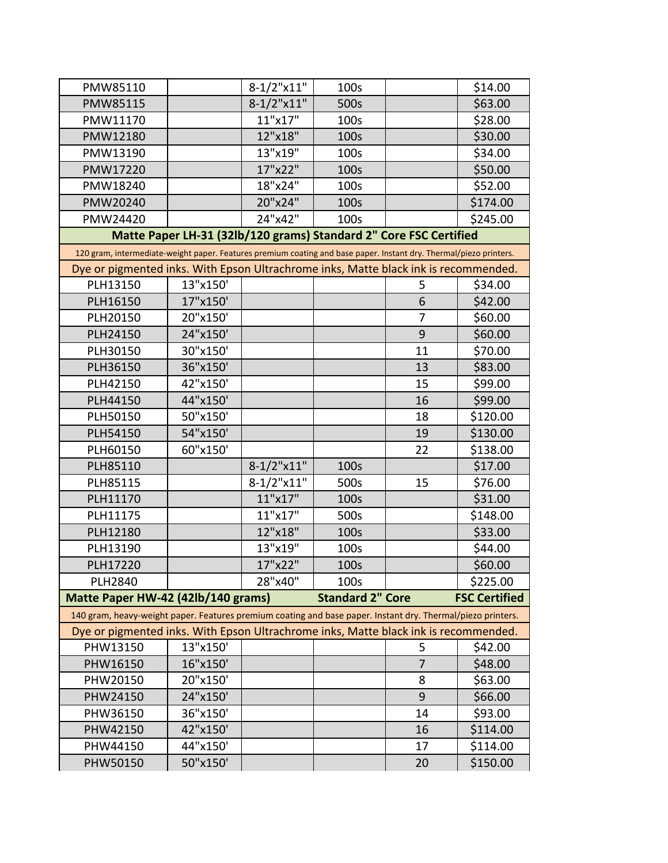| PMW85110                                                                                                           |                                                                   | $8-1/2$ "x11" | 100s                    |                | \$14.00              |
|--------------------------------------------------------------------------------------------------------------------|-------------------------------------------------------------------|---------------|-------------------------|----------------|----------------------|
| PMW85115                                                                                                           |                                                                   | $8-1/2$ "x11" | 500s                    |                | \$63.00              |
| PMW11170                                                                                                           |                                                                   | 11"x17"       | 100s                    |                | \$28.00              |
| PMW12180                                                                                                           |                                                                   | 12"x18"       | 100s                    |                | \$30.00              |
| PMW13190                                                                                                           |                                                                   | 13"x19"       | 100s                    |                | \$34.00              |
| PMW17220                                                                                                           |                                                                   | 17"x22"       | 100s                    |                | \$50.00              |
| PMW18240                                                                                                           |                                                                   | 18"x24"       | 100s                    |                | \$52.00              |
| PMW20240                                                                                                           |                                                                   | 20"x24"       | 100s                    |                | \$174.00             |
| PMW24420                                                                                                           |                                                                   | 24"x42"       | 100s                    |                | \$245.00             |
|                                                                                                                    | Matte Paper LH-31 (32lb/120 grams) Standard 2" Core FSC Certified |               |                         |                |                      |
| 120 gram, intermediate-weight paper. Features premium coating and base paper. Instant dry. Thermal/piezo printers. |                                                                   |               |                         |                |                      |
| Dye or pigmented inks. With Epson Ultrachrome inks, Matte black ink is recommended.                                |                                                                   |               |                         |                |                      |
| PLH13150                                                                                                           | 13"x150'                                                          |               |                         | 5              | \$34.00              |
| PLH16150                                                                                                           | 17"x150'                                                          |               |                         | 6              | \$42.00              |
| PLH20150                                                                                                           | 20"x150'                                                          |               |                         | 7              | \$60.00              |
| PLH24150                                                                                                           | 24"x150'                                                          |               |                         | 9              | \$60.00              |
| PLH30150                                                                                                           | 30"x150'                                                          |               |                         | 11             | \$70.00              |
| PLH36150                                                                                                           | 36"x150'                                                          |               |                         | 13             | \$83.00              |
| PLH42150                                                                                                           | 42"x150'                                                          |               |                         | 15             | \$99.00              |
| PLH44150                                                                                                           | 44"x150'                                                          |               |                         | 16             | \$99.00              |
| PLH50150                                                                                                           | 50"x150'                                                          |               |                         | 18             | \$120.00             |
| PLH54150                                                                                                           | 54"x150'                                                          |               |                         | 19             | \$130.00             |
| PLH60150                                                                                                           | 60"x150'                                                          |               |                         | 22             | \$138.00             |
| PLH85110                                                                                                           |                                                                   | $8-1/2$ "x11" | 100s                    |                | \$17.00              |
| PLH85115                                                                                                           |                                                                   | $8-1/2$ "x11" | 500s                    | 15             | \$76.00              |
| PLH11170                                                                                                           |                                                                   | 11"x17"       | 100s                    |                | \$31.00              |
| PLH11175                                                                                                           |                                                                   | 11"x17"       | 500s                    |                | \$148.00             |
| PLH12180                                                                                                           |                                                                   | 12"x18"       | 100s                    |                | \$33.00              |
| PLH13190                                                                                                           |                                                                   | 13"x19"       | 100s                    |                | \$44.00              |
| PLH17220                                                                                                           |                                                                   | 17"x22"       | 100s                    |                | \$60.00              |
| <b>PLH2840</b>                                                                                                     |                                                                   | 28"x40"       | 100s                    |                | \$225.00             |
| Matte Paper HW-42 (42lb/140 grams)                                                                                 |                                                                   |               | <b>Standard 2" Core</b> |                | <b>FSC Certified</b> |
| 140 gram, heavy-weight paper. Features premium coating and base paper. Instant dry. Thermal/piezo printers.        |                                                                   |               |                         |                |                      |
| Dye or pigmented inks. With Epson Ultrachrome inks, Matte black ink is recommended.                                |                                                                   |               |                         |                |                      |
| PHW13150                                                                                                           | 13"x150'                                                          |               |                         | 5              | \$42.00              |
| PHW16150                                                                                                           | 16"x150'                                                          |               |                         | $\overline{7}$ | \$48.00              |
| PHW20150                                                                                                           | 20"x150'                                                          |               |                         | 8              | \$63.00              |
| PHW24150                                                                                                           | 24"x150'                                                          |               |                         | 9              | \$66.00              |
| PHW36150                                                                                                           | 36"x150'                                                          |               |                         | 14             | \$93.00              |
| PHW42150                                                                                                           | 42"x150'                                                          |               |                         | 16             | \$114.00             |
| PHW44150                                                                                                           | 44"x150'                                                          |               |                         | 17             | \$114.00             |
| PHW50150                                                                                                           | 50"x150'                                                          |               |                         | 20             | \$150.00             |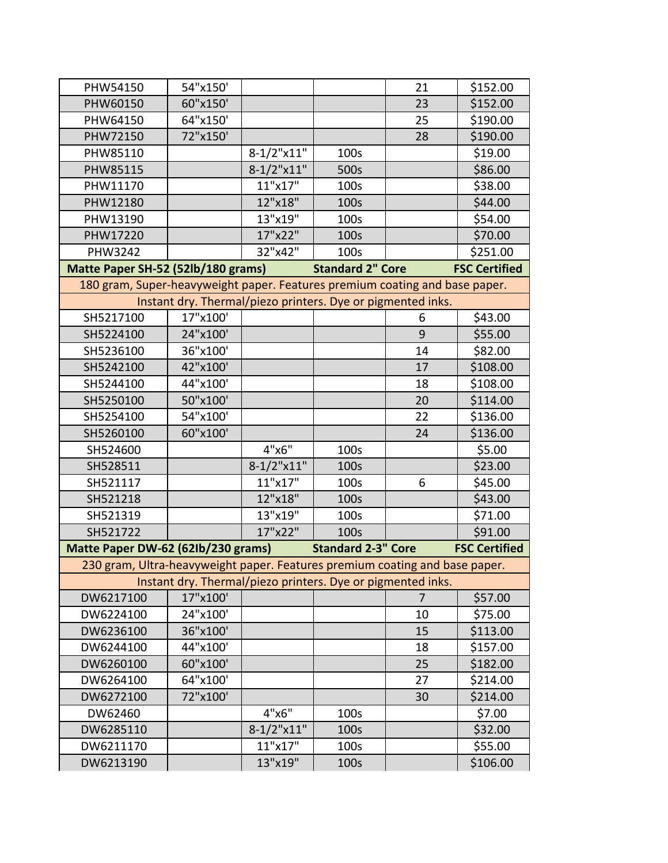| PHW54150                                                                    | 54"x150'                                                    |               |                           | 21             | \$152.00             |
|-----------------------------------------------------------------------------|-------------------------------------------------------------|---------------|---------------------------|----------------|----------------------|
| PHW60150                                                                    | 60"x150'                                                    |               |                           | 23             | \$152.00             |
| PHW64150                                                                    | 64"x150'                                                    |               |                           | 25             | \$190.00             |
| PHW72150                                                                    | 72"x150'                                                    |               |                           | 28             | \$190.00             |
| PHW85110                                                                    |                                                             | $8-1/2$ "x11" | 100s                      |                | \$19.00              |
| PHW85115                                                                    |                                                             | $8-1/2$ "x11" | 500s                      |                | \$86.00              |
| PHW11170                                                                    |                                                             | 11"x17"       | 100s                      |                | \$38.00              |
| PHW12180                                                                    |                                                             | 12"x18"       | 100s                      |                | \$44.00              |
| PHW13190                                                                    |                                                             | 13"x19"       | 100s                      |                | \$54.00              |
| PHW17220                                                                    |                                                             | 17"x22"       | 100s                      |                | \$70.00              |
| <b>PHW3242</b>                                                              |                                                             | 32"x42"       | 100s                      |                | \$251.00             |
| Matte Paper SH-52 (52lb/180 grams)                                          |                                                             |               | <b>Standard 2" Core</b>   |                | <b>FSC Certified</b> |
| 180 gram, Super-heavyweight paper. Features premium coating and base paper. |                                                             |               |                           |                |                      |
|                                                                             | Instant dry. Thermal/piezo printers. Dye or pigmented inks. |               |                           |                |                      |
| SH5217100                                                                   | 17"x100'                                                    |               |                           | 6              | \$43.00              |
| SH5224100                                                                   | 24"x100'                                                    |               |                           | 9              | \$55.00              |
| SH5236100                                                                   | 36"x100'                                                    |               |                           | 14             | \$82.00              |
| SH5242100                                                                   | 42"x100'                                                    |               |                           | 17             | \$108.00             |
| SH5244100                                                                   | 44"x100'                                                    |               |                           | 18             | \$108.00             |
| SH5250100                                                                   | 50"x100'                                                    |               |                           | 20             | \$114.00             |
| SH5254100                                                                   | 54"x100'                                                    |               |                           | 22             | \$136.00             |
| SH5260100                                                                   | 60"x100'                                                    |               |                           | 24             | \$136.00             |
| SH524600                                                                    |                                                             | 4"x6"         | 100s                      |                | \$5.00               |
| SH528511                                                                    |                                                             | $8-1/2$ "x11" | 100s                      |                | \$23.00              |
| SH521117                                                                    |                                                             | 11"x17"       | 100s                      | 6              | \$45.00              |
| SH521218                                                                    |                                                             | 12"x18"       | 100s                      |                | \$43.00              |
| SH521319                                                                    |                                                             | 13"x19"       | 100s                      |                | \$71.00              |
| SH521722                                                                    |                                                             | 17"x22"       | 100s                      |                | \$91.00              |
| Matte Paper DW-62 (62lb/230 grams)                                          |                                                             |               | <b>Standard 2-3" Core</b> |                | <b>FSC Certified</b> |
| 230 gram, Ultra-heavyweight paper. Features premium coating and base paper. |                                                             |               |                           |                |                      |
|                                                                             | Instant dry. Thermal/piezo printers. Dye or pigmented inks. |               |                           |                |                      |
| DW6217100                                                                   | 17"x100'                                                    |               |                           | $\overline{7}$ | \$57.00              |
| DW6224100                                                                   | 24"x100'                                                    |               |                           | 10             | \$75.00              |
| DW6236100                                                                   | 36"x100'                                                    |               |                           | 15             | \$113.00             |
| DW6244100                                                                   | 44"x100'                                                    |               |                           | 18             | \$157.00             |
| DW6260100                                                                   | 60"x100'                                                    |               |                           | 25             | \$182.00             |
| DW6264100                                                                   | 64"x100'                                                    |               |                           | 27             | \$214.00             |
| DW6272100                                                                   | 72"x100'                                                    |               |                           | 30             | \$214.00             |
| DW62460                                                                     |                                                             | 4"x6"         | 100s                      |                | \$7.00               |
| DW6285110                                                                   |                                                             | $8-1/2$ "x11" | 100s                      |                | \$32.00              |
| DW6211170                                                                   |                                                             | 11"x17"       | 100s                      |                | \$55.00              |
| DW6213190                                                                   |                                                             | 13"x19"       | 100s                      |                | \$106.00             |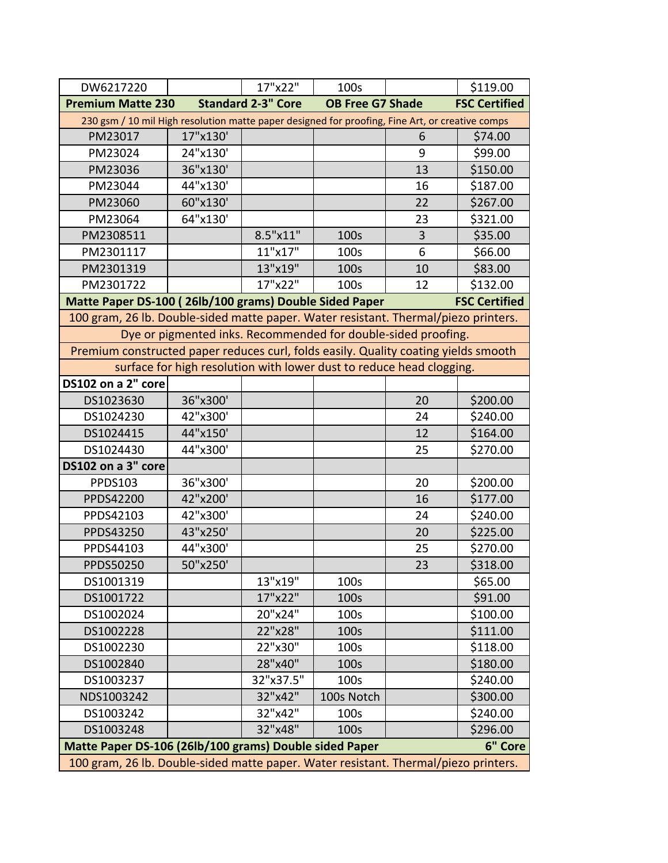| DW6217220                                                                           |                                                                                                 | 17"x22"                   | 100s                    |    | \$119.00             |  |  |  |
|-------------------------------------------------------------------------------------|-------------------------------------------------------------------------------------------------|---------------------------|-------------------------|----|----------------------|--|--|--|
| <b>Premium Matte 230</b>                                                            |                                                                                                 | <b>Standard 2-3" Core</b> | <b>OB Free G7 Shade</b> |    | <b>FSC Certified</b> |  |  |  |
|                                                                                     | 230 gsm / 10 mil High resolution matte paper designed for proofing, Fine Art, or creative comps |                           |                         |    |                      |  |  |  |
| PM23017                                                                             | 17"x130'                                                                                        |                           |                         | 6  | \$74.00              |  |  |  |
| PM23024                                                                             | 24"x130'                                                                                        |                           |                         | 9  | \$99.00              |  |  |  |
| PM23036                                                                             | 36"x130'                                                                                        |                           |                         | 13 | \$150.00             |  |  |  |
| PM23044                                                                             | 44"x130'                                                                                        |                           |                         | 16 | \$187.00             |  |  |  |
| PM23060                                                                             | 60"x130'                                                                                        |                           |                         | 22 | \$267.00             |  |  |  |
| PM23064                                                                             | 64"x130'                                                                                        |                           |                         | 23 | \$321.00             |  |  |  |
| PM2308511                                                                           |                                                                                                 | 8.5"x11"                  | 100s                    | 3  | \$35.00              |  |  |  |
| PM2301117                                                                           |                                                                                                 | 11"x17"                   | 100s                    | 6  | \$66.00              |  |  |  |
| PM2301319                                                                           |                                                                                                 | 13"x19"                   | 100s                    | 10 | \$83.00              |  |  |  |
| PM2301722                                                                           |                                                                                                 | 17"x22"                   | 100s                    | 12 | \$132.00             |  |  |  |
| Matte Paper DS-100 (26lb/100 grams) Double Sided Paper                              |                                                                                                 |                           |                         |    | <b>FSC Certified</b> |  |  |  |
| 100 gram, 26 lb. Double-sided matte paper. Water resistant. Thermal/piezo printers. |                                                                                                 |                           |                         |    |                      |  |  |  |
|                                                                                     | Dye or pigmented inks. Recommended for double-sided proofing.                                   |                           |                         |    |                      |  |  |  |
| Premium constructed paper reduces curl, folds easily. Quality coating yields smooth |                                                                                                 |                           |                         |    |                      |  |  |  |
|                                                                                     | surface for high resolution with lower dust to reduce head clogging.                            |                           |                         |    |                      |  |  |  |
| DS102 on a 2" core                                                                  |                                                                                                 |                           |                         |    |                      |  |  |  |
| DS1023630                                                                           | 36"x300'                                                                                        |                           |                         | 20 | \$200.00             |  |  |  |
| DS1024230                                                                           | 42"x300'                                                                                        |                           |                         | 24 | \$240.00             |  |  |  |
| DS1024415                                                                           | 44"x150'                                                                                        |                           |                         | 12 | \$164.00             |  |  |  |
| DS1024430                                                                           | 44"x300'                                                                                        |                           |                         | 25 | \$270.00             |  |  |  |
| DS102 on a 3" core                                                                  |                                                                                                 |                           |                         |    |                      |  |  |  |
| PPDS103                                                                             | 36"x300'                                                                                        |                           |                         | 20 | \$200.00             |  |  |  |
| PPDS42200                                                                           | 42"x200'                                                                                        |                           |                         | 16 | \$177.00             |  |  |  |
| PPDS42103                                                                           | 42"x300'                                                                                        |                           |                         | 24 | \$240.00             |  |  |  |
| PPDS43250                                                                           | 43"x250'                                                                                        |                           |                         | 20 | \$225.00             |  |  |  |
| PPDS44103                                                                           | 44"x300'                                                                                        |                           |                         | 25 | \$270.00             |  |  |  |
| PPDS50250                                                                           | 50"x250'                                                                                        |                           |                         | 23 | \$318.00             |  |  |  |
| DS1001319                                                                           |                                                                                                 | 13"x19"                   | 100s                    |    | \$65.00              |  |  |  |
| DS1001722                                                                           |                                                                                                 | 17"x22"                   | 100s                    |    | \$91.00              |  |  |  |
| DS1002024                                                                           |                                                                                                 | 20"x24"                   | 100s                    |    | \$100.00             |  |  |  |
| DS1002228                                                                           |                                                                                                 | 22"x28"                   | 100s                    |    | \$111.00             |  |  |  |
| DS1002230                                                                           |                                                                                                 | 22"x30"                   | 100s                    |    | \$118.00             |  |  |  |
| DS1002840                                                                           |                                                                                                 | 28"x40"                   | 100s                    |    | \$180.00             |  |  |  |
| DS1003237                                                                           |                                                                                                 | 32"x37.5"                 | 100s                    |    | \$240.00             |  |  |  |
| NDS1003242                                                                          |                                                                                                 | 32"x42"                   | 100s Notch              |    | \$300.00             |  |  |  |
| DS1003242                                                                           |                                                                                                 | 32"x42"                   | 100s                    |    | \$240.00             |  |  |  |
| DS1003248                                                                           |                                                                                                 | 32"x48"                   | 100s                    |    | \$296.00             |  |  |  |
| Matte Paper DS-106 (26lb/100 grams) Double sided Paper                              |                                                                                                 |                           |                         |    | 6" Core              |  |  |  |
| 100 gram, 26 lb. Double-sided matte paper. Water resistant. Thermal/piezo printers. |                                                                                                 |                           |                         |    |                      |  |  |  |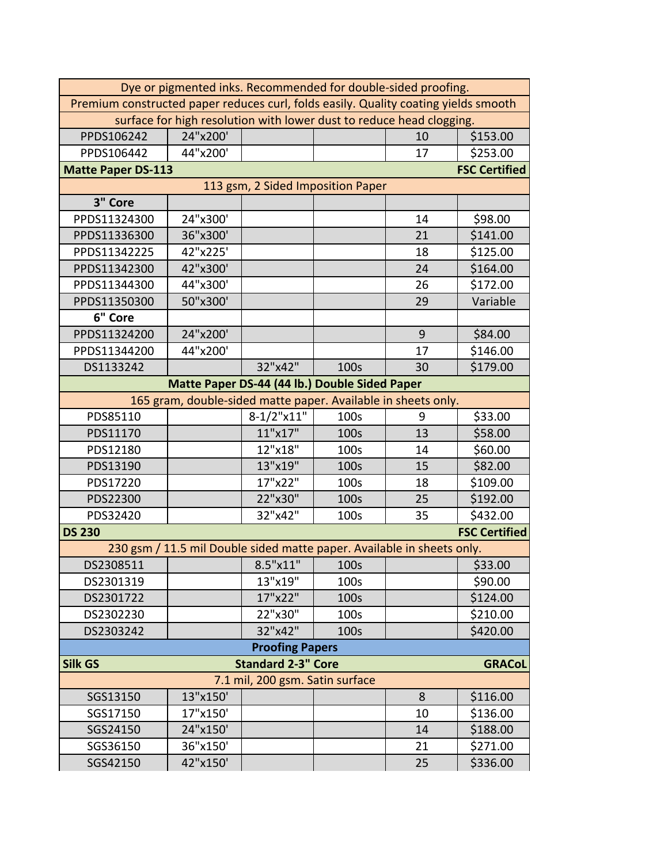| Dye or pigmented inks. Recommended for double-sided proofing.                       |                                                                        |                                 |                                   |                |                      |  |
|-------------------------------------------------------------------------------------|------------------------------------------------------------------------|---------------------------------|-----------------------------------|----------------|----------------------|--|
| Premium constructed paper reduces curl, folds easily. Quality coating yields smooth |                                                                        |                                 |                                   |                |                      |  |
| surface for high resolution with lower dust to reduce head clogging.                |                                                                        |                                 |                                   |                |                      |  |
| PPDS106242                                                                          | 24"x200'                                                               |                                 |                                   | 10             | \$153.00             |  |
| PPDS106442                                                                          | 44"x200'                                                               |                                 |                                   | 17             | \$253.00             |  |
| <b>Matte Paper DS-113</b>                                                           |                                                                        |                                 |                                   |                | <b>FSC Certified</b> |  |
|                                                                                     |                                                                        |                                 | 113 gsm, 2 Sided Imposition Paper |                |                      |  |
| 3" Core                                                                             |                                                                        |                                 |                                   |                |                      |  |
| PPDS11324300                                                                        | 24"x300'                                                               |                                 |                                   | 14             | \$98.00              |  |
| PPDS11336300                                                                        | 36"x300'                                                               |                                 |                                   | 21             | \$141.00             |  |
| PPDS11342225                                                                        | 42"x225'                                                               |                                 |                                   | 18             | \$125.00             |  |
| PPDS11342300                                                                        | 42"x300'                                                               |                                 |                                   | 24             | \$164.00             |  |
| PPDS11344300                                                                        | 44"x300'                                                               |                                 |                                   | 26             | \$172.00             |  |
| PPDS11350300                                                                        | 50"x300'                                                               |                                 |                                   | 29             | Variable             |  |
| 6" Core                                                                             |                                                                        |                                 |                                   |                |                      |  |
| PPDS11324200                                                                        | 24"x200'                                                               |                                 |                                   | $\overline{9}$ | \$84.00              |  |
| PPDS11344200                                                                        | 44"x200'                                                               |                                 |                                   | 17             | \$146.00             |  |
| DS1133242                                                                           |                                                                        | 32"x42"                         | 100s                              | 30             | \$179.00             |  |
|                                                                                     | Matte Paper DS-44 (44 lb.) Double Sided Paper                          |                                 |                                   |                |                      |  |
| 165 gram, double-sided matte paper. Available in sheets only.                       |                                                                        |                                 |                                   |                |                      |  |
| PDS85110                                                                            |                                                                        | 8-1/2"x11"                      | 100s                              | 9              | \$33.00              |  |
| PDS11170                                                                            |                                                                        | 11"x17"                         | 100s                              | 13             | \$58.00              |  |
| PDS12180                                                                            |                                                                        | 12"x18"                         | 100s                              | 14             | \$60.00              |  |
| PDS13190                                                                            |                                                                        | 13"x19"                         | 100s                              | 15             | \$82.00              |  |
| PDS17220                                                                            |                                                                        | 17"x22"                         | 100s                              | 18             | \$109.00             |  |
| PDS22300                                                                            |                                                                        | 22"x30"                         | 100s                              | 25             | \$192.00             |  |
| PDS32420                                                                            |                                                                        | 32"x42"                         | 100s                              | 35             | \$432.00             |  |
| <b>DS 230</b>                                                                       |                                                                        |                                 |                                   |                | <b>FSC Certified</b> |  |
|                                                                                     | 230 gsm / 11.5 mil Double sided matte paper. Available in sheets only. |                                 |                                   |                |                      |  |
| DS2308511                                                                           |                                                                        | $8.5"$ x $11"$                  | 100s                              |                | \$33.00              |  |
| DS2301319                                                                           |                                                                        | 13"x19"                         | 100s                              |                | \$90.00              |  |
| DS2301722                                                                           |                                                                        | 17"x22"                         | 100s                              |                | \$124.00             |  |
| DS2302230                                                                           |                                                                        | 22"x30"                         | 100s                              |                | \$210.00             |  |
| DS2303242                                                                           |                                                                        | 32"x42"                         | 100s                              |                | \$420.00             |  |
|                                                                                     |                                                                        | <b>Proofing Papers</b>          |                                   |                |                      |  |
| Silk GS                                                                             |                                                                        | <b>Standard 2-3" Core</b>       |                                   |                | <b>GRACoL</b>        |  |
|                                                                                     |                                                                        | 7.1 mil, 200 gsm. Satin surface |                                   |                |                      |  |
| SGS13150                                                                            | 13"x150'                                                               |                                 |                                   | 8              | \$116.00             |  |
| SGS17150                                                                            | 17"x150'                                                               |                                 |                                   | 10             | \$136.00             |  |
| SGS24150                                                                            | 24"x150'                                                               |                                 |                                   | 14             | \$188.00             |  |
| SGS36150                                                                            | 36"x150'                                                               |                                 |                                   | 21             | \$271.00             |  |
| SGS42150                                                                            | 42"x150'                                                               |                                 |                                   | 25             | \$336.00             |  |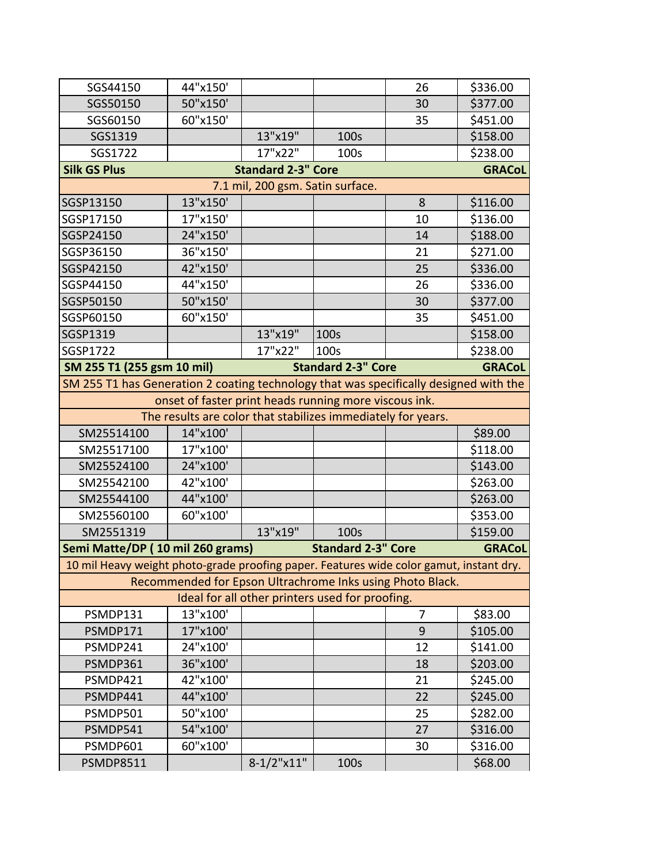| SGS44150                                                                                | 44"x150'                                                     |                           |                                                 | 26 | \$336.00      |  |  |
|-----------------------------------------------------------------------------------------|--------------------------------------------------------------|---------------------------|-------------------------------------------------|----|---------------|--|--|
| SGS50150                                                                                | 50"x150'                                                     |                           |                                                 | 30 | \$377.00      |  |  |
| SGS60150                                                                                | 60"x150'                                                     |                           |                                                 | 35 | \$451.00      |  |  |
| SGS1319                                                                                 |                                                              | 13"x19"                   | 100s                                            |    | \$158.00      |  |  |
| SGS1722                                                                                 |                                                              | 17"x22"                   | 100s                                            |    | \$238.00      |  |  |
| <b>Silk GS Plus</b>                                                                     |                                                              | <b>Standard 2-3" Core</b> |                                                 |    | <b>GRACoL</b> |  |  |
| 7.1 mil, 200 gsm. Satin surface.                                                        |                                                              |                           |                                                 |    |               |  |  |
| SGSP13150                                                                               | 13"x150'                                                     |                           |                                                 | 8  | \$116.00      |  |  |
| SGSP17150                                                                               | 17"x150'                                                     |                           |                                                 | 10 | \$136.00      |  |  |
| SGSP24150                                                                               | 24"x150'                                                     |                           |                                                 | 14 | \$188.00      |  |  |
| SGSP36150                                                                               | 36"x150'                                                     |                           |                                                 | 21 | \$271.00      |  |  |
| SGSP42150                                                                               | 42"x150'                                                     |                           |                                                 | 25 | \$336.00      |  |  |
| SGSP44150                                                                               | 44"x150'                                                     |                           |                                                 | 26 | \$336.00      |  |  |
| SGSP50150                                                                               | 50"x150'                                                     |                           |                                                 | 30 | \$377.00      |  |  |
| SGSP60150                                                                               | 60"x150'                                                     |                           |                                                 | 35 | \$451.00      |  |  |
| SGSP1319                                                                                |                                                              | 13"x19"                   | 100s                                            |    | \$158.00      |  |  |
| SGSP1722                                                                                |                                                              | 17"x22"                   | 100s                                            |    | \$238.00      |  |  |
| SM 255 T1 (255 gsm 10 mil)                                                              |                                                              |                           | <b>Standard 2-3" Core</b>                       |    | <b>GRACoL</b> |  |  |
| SM 255 T1 has Generation 2 coating technology that was specifically designed with the   |                                                              |                           |                                                 |    |               |  |  |
| onset of faster print heads running more viscous ink.                                   |                                                              |                           |                                                 |    |               |  |  |
|                                                                                         | The results are color that stabilizes immediately for years. |                           |                                                 |    |               |  |  |
| SM25514100                                                                              | 14"x100'                                                     |                           |                                                 |    | \$89.00       |  |  |
| SM25517100                                                                              | 17"x100'                                                     |                           |                                                 |    | \$118.00      |  |  |
| SM25524100                                                                              | 24"x100'                                                     |                           |                                                 |    | \$143.00      |  |  |
| SM25542100                                                                              | 42"x100'                                                     |                           |                                                 |    | \$263.00      |  |  |
| SM25544100                                                                              | 44"x100'                                                     |                           |                                                 |    | \$263.00      |  |  |
| SM25560100                                                                              | 60"x100'                                                     |                           |                                                 |    | \$353.00      |  |  |
| SM2551319                                                                               |                                                              | 13"x19"                   | 100s                                            |    | \$159.00      |  |  |
| Semi Matte/DP (10 mil 260 grams)                                                        |                                                              |                           | <b>Standard 2-3" Core</b>                       |    | <b>GRACoL</b> |  |  |
| 10 mil Heavy weight photo-grade proofing paper. Features wide color gamut, instant dry. |                                                              |                           |                                                 |    |               |  |  |
|                                                                                         | Recommended for Epson Ultrachrome Inks using Photo Black.    |                           |                                                 |    |               |  |  |
|                                                                                         |                                                              |                           | Ideal for all other printers used for proofing. |    |               |  |  |
| PSMDP131                                                                                | 13"x100'                                                     |                           |                                                 | 7  | \$83.00       |  |  |
| PSMDP171                                                                                | 17"x100'                                                     |                           |                                                 | 9  | \$105.00      |  |  |
| PSMDP241                                                                                | 24"x100'                                                     |                           |                                                 | 12 | \$141.00      |  |  |
| PSMDP361                                                                                | 36"x100'                                                     |                           |                                                 | 18 | \$203.00      |  |  |
| PSMDP421                                                                                | 42"x100'                                                     |                           |                                                 | 21 | \$245.00      |  |  |
| PSMDP441                                                                                | 44"x100'                                                     |                           |                                                 | 22 | \$245.00      |  |  |
| PSMDP501                                                                                | 50"x100'                                                     |                           |                                                 | 25 | \$282.00      |  |  |
| PSMDP541                                                                                | 54"x100'                                                     |                           |                                                 | 27 | \$316.00      |  |  |
| PSMDP601                                                                                | 60"x100'                                                     |                           |                                                 | 30 | \$316.00      |  |  |
| <b>PSMDP8511</b>                                                                        |                                                              | $8-1/2"x11"$              | 100s                                            |    | \$68.00       |  |  |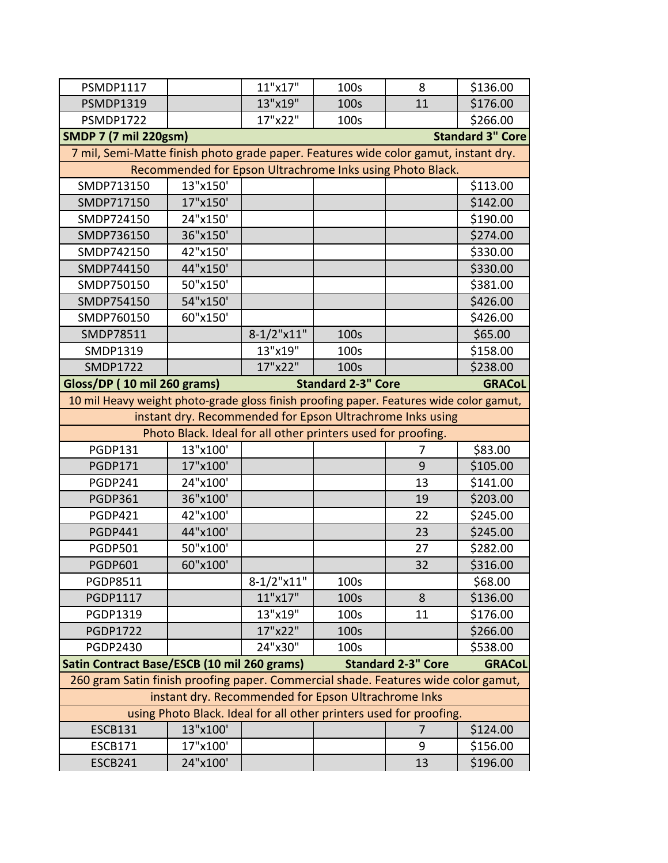| <b>PSMDP1117</b>                                                                   |                                                                                         | 11"x17"       | 100s                      | 8                         | \$136.00      |  |  |  |  |
|------------------------------------------------------------------------------------|-----------------------------------------------------------------------------------------|---------------|---------------------------|---------------------------|---------------|--|--|--|--|
| <b>PSMDP1319</b>                                                                   |                                                                                         | 13"x19"       | 100s                      | 11                        | \$176.00      |  |  |  |  |
| <b>PSMDP1722</b>                                                                   |                                                                                         | 17"x22"       | 100s                      |                           | \$266.00      |  |  |  |  |
|                                                                                    | <b>Standard 3" Core</b><br><b>SMDP 7 (7 mil 220gsm)</b>                                 |               |                           |                           |               |  |  |  |  |
|                                                                                    | 7 mil, Semi-Matte finish photo grade paper. Features wide color gamut, instant dry.     |               |                           |                           |               |  |  |  |  |
|                                                                                    | Recommended for Epson Ultrachrome Inks using Photo Black.                               |               |                           |                           |               |  |  |  |  |
| SMDP713150                                                                         | 13"x150'                                                                                |               |                           |                           | \$113.00      |  |  |  |  |
| SMDP717150                                                                         | 17"x150'                                                                                |               |                           |                           | \$142.00      |  |  |  |  |
| SMDP724150                                                                         | 24"x150'                                                                                |               |                           |                           | \$190.00      |  |  |  |  |
| SMDP736150                                                                         | 36"x150'                                                                                |               |                           |                           | \$274.00      |  |  |  |  |
| SMDP742150                                                                         | 42"x150'                                                                                |               |                           |                           | \$330.00      |  |  |  |  |
| SMDP744150                                                                         | 44"x150'                                                                                |               |                           |                           | \$330.00      |  |  |  |  |
| SMDP750150                                                                         | 50"x150'                                                                                |               |                           |                           | \$381.00      |  |  |  |  |
| SMDP754150                                                                         | 54"x150'                                                                                |               |                           |                           | \$426.00      |  |  |  |  |
| SMDP760150                                                                         | 60"x150'                                                                                |               |                           |                           | \$426.00      |  |  |  |  |
| SMDP78511                                                                          |                                                                                         | $8-1/2$ "x11" | 100s                      |                           | \$65.00       |  |  |  |  |
| SMDP1319                                                                           |                                                                                         | 13"x19"       | 100s                      |                           | \$158.00      |  |  |  |  |
| <b>SMDP1722</b>                                                                    |                                                                                         | 17"x22"       | 100s                      |                           | \$238.00      |  |  |  |  |
| Gloss/DP (10 mil 260 grams)                                                        |                                                                                         |               | <b>Standard 2-3" Core</b> |                           | <b>GRACoL</b> |  |  |  |  |
|                                                                                    | 10 mil Heavy weight photo-grade gloss finish proofing paper. Features wide color gamut, |               |                           |                           |               |  |  |  |  |
|                                                                                    | instant dry. Recommended for Epson Ultrachrome Inks using                               |               |                           |                           |               |  |  |  |  |
|                                                                                    | Photo Black. Ideal for all other printers used for proofing.                            |               |                           |                           |               |  |  |  |  |
| <b>PGDP131</b>                                                                     | 13"x100'                                                                                |               |                           | 7                         | \$83.00       |  |  |  |  |
| <b>PGDP171</b>                                                                     | 17"x100'                                                                                |               |                           | 9                         | \$105.00      |  |  |  |  |
| PGDP241                                                                            | 24"x100'                                                                                |               |                           | 13                        | \$141.00      |  |  |  |  |
| <b>PGDP361</b>                                                                     | 36"x100'                                                                                |               |                           | 19                        | \$203.00      |  |  |  |  |
| <b>PGDP421</b>                                                                     | 42"x100'                                                                                |               |                           | 22                        | \$245.00      |  |  |  |  |
| <b>PGDP441</b>                                                                     | 44"x100'                                                                                |               |                           | 23                        | \$245.00      |  |  |  |  |
| <b>PGDP501</b>                                                                     | 50"x100'                                                                                |               |                           | 27                        | \$282.00      |  |  |  |  |
| <b>PGDP601</b>                                                                     | 60"x100'                                                                                |               |                           |                           |               |  |  |  |  |
| <b>PGDP8511</b>                                                                    |                                                                                         |               |                           | 32                        | \$316.00      |  |  |  |  |
|                                                                                    |                                                                                         | $8-1/2$ "x11" | 100s                      |                           | \$68.00       |  |  |  |  |
| <b>PGDP1117</b>                                                                    |                                                                                         | 11"x17"       | 100s                      | 8                         | \$136.00      |  |  |  |  |
| PGDP1319                                                                           |                                                                                         | 13"x19"       | 100s                      | 11                        | \$176.00      |  |  |  |  |
| <b>PGDP1722</b>                                                                    |                                                                                         | 17"x22"       | 100s                      |                           | \$266.00      |  |  |  |  |
| <b>PGDP2430</b>                                                                    |                                                                                         | 24"x30"       | 100s                      |                           | \$538.00      |  |  |  |  |
| Satin Contract Base/ESCB (10 mil 260 grams)                                        |                                                                                         |               |                           | <b>Standard 2-3" Core</b> | <b>GRACoL</b> |  |  |  |  |
| 260 gram Satin finish proofing paper. Commercial shade. Features wide color gamut, |                                                                                         |               |                           |                           |               |  |  |  |  |
|                                                                                    | instant dry. Recommended for Epson Ultrachrome Inks                                     |               |                           |                           |               |  |  |  |  |
|                                                                                    | using Photo Black. Ideal for all other printers used for proofing.                      |               |                           |                           |               |  |  |  |  |
| <b>ESCB131</b>                                                                     | 13"x100'                                                                                |               |                           | 7                         | \$124.00      |  |  |  |  |
| <b>ESCB171</b>                                                                     | 17"x100'                                                                                |               |                           | 9                         | \$156.00      |  |  |  |  |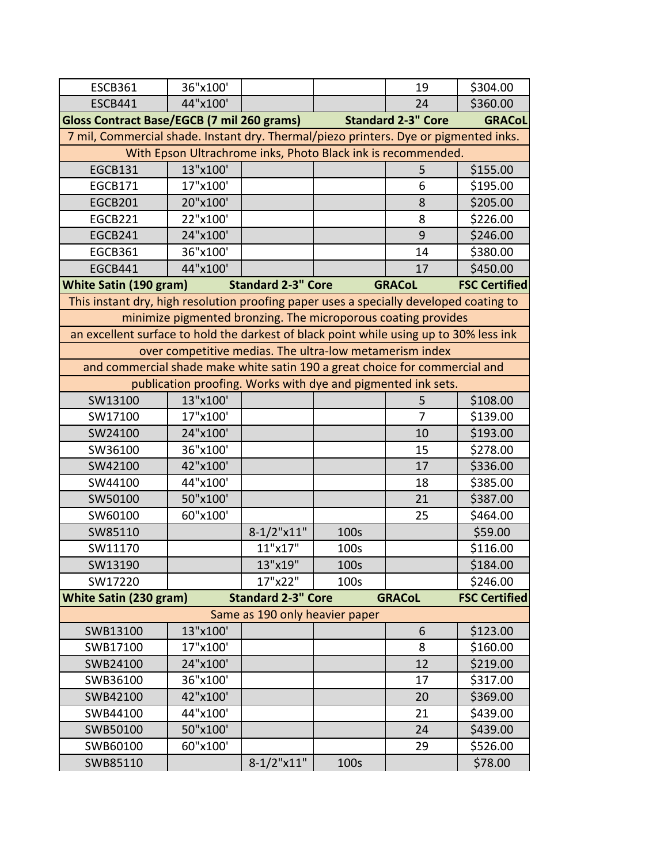| <b>ESCB361</b>                                                                         | 36"x100'                                                                             |                                |      | 19                        | \$304.00             |  |  |  |
|----------------------------------------------------------------------------------------|--------------------------------------------------------------------------------------|--------------------------------|------|---------------------------|----------------------|--|--|--|
| <b>ESCB441</b>                                                                         | 44"x100'                                                                             |                                |      | 24                        | \$360.00             |  |  |  |
| <b>Gloss Contract Base/EGCB (7 mil 260 grams)</b>                                      |                                                                                      |                                |      | <b>Standard 2-3" Core</b> | <b>GRACoL</b>        |  |  |  |
|                                                                                        | 7 mil, Commercial shade. Instant dry. Thermal/piezo printers. Dye or pigmented inks. |                                |      |                           |                      |  |  |  |
|                                                                                        | With Epson Ultrachrome inks, Photo Black ink is recommended.                         |                                |      |                           |                      |  |  |  |
| <b>EGCB131</b>                                                                         | 13"x100'                                                                             |                                |      | 5                         | \$155.00             |  |  |  |
| <b>EGCB171</b>                                                                         | 17"x100'                                                                             |                                |      | 6                         | \$195.00             |  |  |  |
| EGCB201                                                                                | 20"x100'                                                                             |                                |      | 8                         | \$205.00             |  |  |  |
| EGCB221                                                                                | 22"x100'                                                                             |                                |      | 8                         | \$226.00             |  |  |  |
| EGCB241                                                                                | 24"x100'                                                                             |                                |      | 9                         | \$246.00             |  |  |  |
| <b>EGCB361</b>                                                                         | 36"x100'                                                                             |                                |      | 14                        | \$380.00             |  |  |  |
| <b>EGCB441</b>                                                                         | 44"x100'                                                                             |                                |      | 17                        | \$450.00             |  |  |  |
| <b>White Satin (190 gram)</b>                                                          |                                                                                      | <b>Standard 2-3" Core</b>      |      | <b>GRACoL</b>             | <b>FSC Certified</b> |  |  |  |
| This instant dry, high resolution proofing paper uses a specially developed coating to |                                                                                      |                                |      |                           |                      |  |  |  |
|                                                                                        | minimize pigmented bronzing. The microporous coating provides                        |                                |      |                           |                      |  |  |  |
| an excellent surface to hold the darkest of black point while using up to 30% less ink |                                                                                      |                                |      |                           |                      |  |  |  |
|                                                                                        | over competitive medias. The ultra-low metamerism index                              |                                |      |                           |                      |  |  |  |
| and commercial shade make white satin 190 a great choice for commercial and            |                                                                                      |                                |      |                           |                      |  |  |  |
|                                                                                        | publication proofing. Works with dye and pigmented ink sets.                         |                                |      |                           |                      |  |  |  |
| SW13100                                                                                | 13"x100'                                                                             |                                |      | 5                         | \$108.00             |  |  |  |
| SW17100                                                                                | 17"x100'                                                                             |                                |      | 7                         | \$139.00             |  |  |  |
| SW24100                                                                                | 24"x100'                                                                             |                                |      | 10                        | \$193.00             |  |  |  |
| SW36100                                                                                | 36"x100'                                                                             |                                |      | 15                        | \$278.00             |  |  |  |
| SW42100                                                                                | 42"x100'                                                                             |                                |      | 17                        | \$336.00             |  |  |  |
| SW44100                                                                                | 44"x100'                                                                             |                                |      | 18                        | \$385.00             |  |  |  |
| SW50100                                                                                | 50"x100'                                                                             |                                |      | 21                        | \$387.00             |  |  |  |
| SW60100                                                                                | 60"x100'                                                                             |                                |      | 25                        | \$464.00             |  |  |  |
| SW85110                                                                                |                                                                                      | $8-1/2$ "x11"                  | 100s |                           | \$59.00              |  |  |  |
| SW11170                                                                                |                                                                                      | 11"x17"                        | 100s |                           | \$116.00             |  |  |  |
| SW13190                                                                                |                                                                                      | 13"x19"                        | 100s |                           | \$184.00             |  |  |  |
| SW17220                                                                                |                                                                                      | 17"x22"                        | 100s |                           | \$246.00             |  |  |  |
| <b>White Satin (230 gram)</b>                                                          |                                                                                      | <b>Standard 2-3" Core</b>      |      | <b>GRACoL</b>             | <b>FSC Certified</b> |  |  |  |
|                                                                                        |                                                                                      | Same as 190 only heavier paper |      |                           |                      |  |  |  |
| SWB13100                                                                               | 13"x100'                                                                             |                                |      | 6                         | \$123.00             |  |  |  |
| SWB17100                                                                               | 17"x100'                                                                             |                                |      | 8                         | \$160.00             |  |  |  |
| SWB24100                                                                               | 24"x100'                                                                             |                                |      | 12                        | \$219.00             |  |  |  |
| SWB36100                                                                               | 36"x100'                                                                             |                                |      | 17                        | \$317.00             |  |  |  |
| SWB42100                                                                               | 42"x100'                                                                             |                                |      | 20                        | \$369.00             |  |  |  |
| SWB44100                                                                               | 44"x100'                                                                             |                                |      | 21                        | \$439.00             |  |  |  |
| SWB50100                                                                               | 50"x100'                                                                             |                                |      | 24                        | \$439.00             |  |  |  |
| SWB60100                                                                               | 60"x100'                                                                             |                                |      | 29                        | \$526.00             |  |  |  |
| SWB85110                                                                               |                                                                                      | $8-1/2$ "x11"                  | 100s |                           | \$78.00              |  |  |  |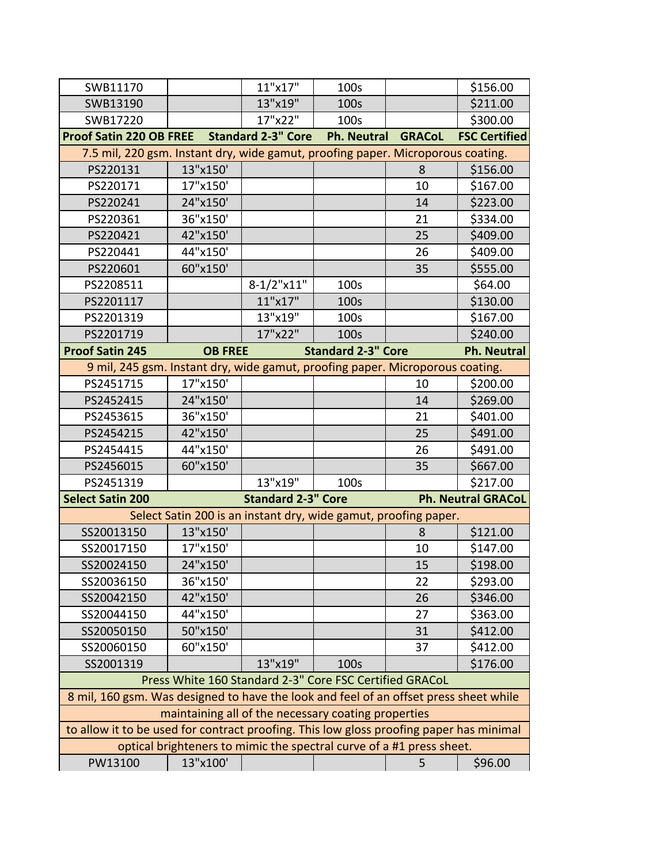| SWB11170                                                                                |                                                                      | 11"x17"                   | 100s                      |               | \$156.00                  |
|-----------------------------------------------------------------------------------------|----------------------------------------------------------------------|---------------------------|---------------------------|---------------|---------------------------|
| SWB13190                                                                                |                                                                      | 13"x19"                   | 100s                      |               | \$211.00                  |
| SWB17220                                                                                |                                                                      | 17"x22"                   | 100s                      |               | \$300.00                  |
| <b>Proof Satin 220 OB FREE</b>                                                          |                                                                      | <b>Standard 2-3" Core</b> | <b>Ph. Neutral</b>        | <b>GRACoL</b> | <b>FSC Certified</b>      |
| 7.5 mil, 220 gsm. Instant dry, wide gamut, proofing paper. Microporous coating.         |                                                                      |                           |                           |               |                           |
| PS220131                                                                                | 13"x150'                                                             |                           |                           | 8             | \$156.00                  |
| PS220171                                                                                | 17"x150'                                                             |                           |                           | 10            | \$167.00                  |
| PS220241                                                                                | 24"x150'                                                             |                           |                           | 14            | \$223.00                  |
| PS220361                                                                                | 36"x150'                                                             |                           |                           | 21            | \$334.00                  |
| PS220421                                                                                | 42"x150'                                                             |                           |                           | 25            | \$409.00                  |
| PS220441                                                                                | 44"x150'                                                             |                           |                           | 26            | \$409.00                  |
| PS220601                                                                                | 60"x150'                                                             |                           |                           | 35            | \$555.00                  |
| PS2208511                                                                               |                                                                      | $8-1/2$ "x11"             | 100s                      |               | \$64.00                   |
| PS2201117                                                                               |                                                                      | 11"x17"                   | 100s                      |               | \$130.00                  |
| PS2201319                                                                               |                                                                      | 13"x19"                   | 100s                      |               | \$167.00                  |
| PS2201719                                                                               |                                                                      | 17"x22"                   | 100s                      |               | \$240.00                  |
| <b>Proof Satin 245</b>                                                                  | <b>OB FREE</b>                                                       |                           | <b>Standard 2-3" Core</b> |               | <b>Ph. Neutral</b>        |
| 9 mil, 245 gsm. Instant dry, wide gamut, proofing paper. Microporous coating.           |                                                                      |                           |                           |               |                           |
| PS2451715                                                                               | 17"x150'                                                             |                           |                           | 10            | \$200.00                  |
| PS2452415                                                                               | 24"x150'                                                             |                           |                           | 14            | \$269.00                  |
| PS2453615                                                                               | 36"x150'                                                             |                           |                           | 21            | \$401.00                  |
| PS2454215                                                                               | 42"x150'                                                             |                           |                           | 25            | \$491.00                  |
| PS2454415                                                                               | 44"x150'                                                             |                           |                           | 26            | \$491.00                  |
| PS2456015                                                                               | 60"x150'                                                             |                           |                           | 35            | \$667.00                  |
| PS2451319                                                                               |                                                                      | 13"x19"                   | 100s                      |               | \$217.00                  |
| <b>Select Satin 200</b>                                                                 |                                                                      | <b>Standard 2-3" Core</b> |                           |               | <b>Ph. Neutral GRACoL</b> |
|                                                                                         | Select Satin 200 is an instant dry, wide gamut, proofing paper.      |                           |                           |               |                           |
| SS20013150                                                                              | 13"x150'                                                             |                           |                           | 8             | \$121.00                  |
| SS20017150                                                                              | 17"x150'                                                             |                           |                           | 10            | \$147.00                  |
| SS20024150                                                                              | 24"x150'                                                             |                           |                           | 15            | \$198.00                  |
| SS20036150                                                                              | 36"x150'                                                             |                           |                           | 22            | \$293.00                  |
| SS20042150                                                                              | 42"x150'                                                             |                           |                           | 26            | \$346.00                  |
| SS20044150                                                                              | 44"x150'                                                             |                           |                           | 27            | \$363.00                  |
| SS20050150                                                                              | 50"x150'                                                             |                           |                           | 31            | \$412.00                  |
| SS20060150                                                                              | 60"x150'                                                             |                           |                           | 37            | \$412.00                  |
| SS2001319                                                                               |                                                                      | 13"x19"                   | 100s                      |               | \$176.00                  |
|                                                                                         | Press White 160 Standard 2-3" Core FSC Certified GRACoL              |                           |                           |               |                           |
| 8 mil, 160 gsm. Was designed to have the look and feel of an offset press sheet while   |                                                                      |                           |                           |               |                           |
|                                                                                         | maintaining all of the necessary coating properties                  |                           |                           |               |                           |
| to allow it to be used for contract proofing. This low gloss proofing paper has minimal |                                                                      |                           |                           |               |                           |
|                                                                                         | optical brighteners to mimic the spectral curve of a #1 press sheet. |                           |                           |               |                           |
| PW13100                                                                                 | 13"x100'                                                             |                           |                           | 5             | \$96.00                   |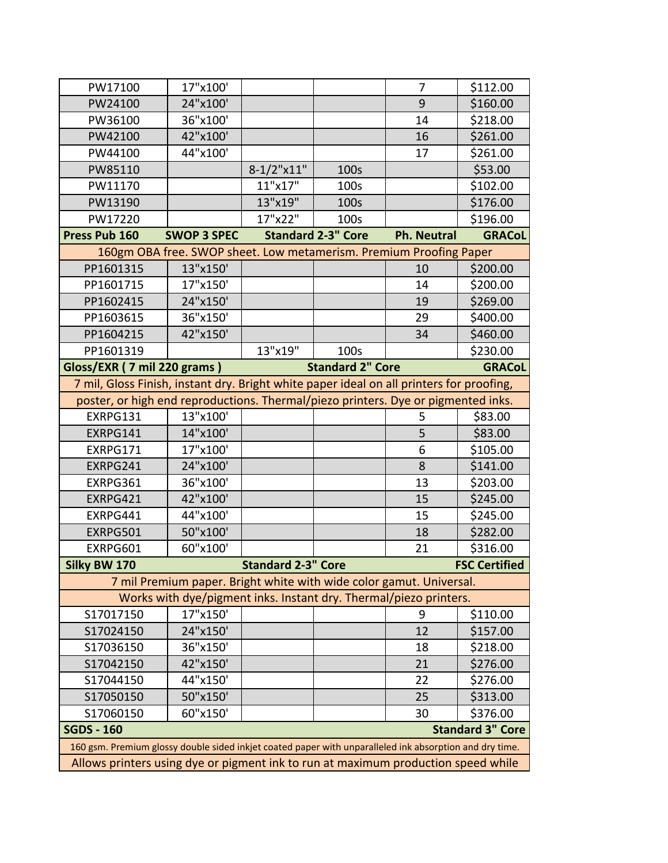| PW17100                                                                                                 | 17"x100'                                                            |                           |                         | 7  | \$112.00                |  |  |  |
|---------------------------------------------------------------------------------------------------------|---------------------------------------------------------------------|---------------------------|-------------------------|----|-------------------------|--|--|--|
| PW24100                                                                                                 | 24"x100'                                                            |                           |                         | 9  | \$160.00                |  |  |  |
| PW36100                                                                                                 | 36"x100'                                                            |                           |                         | 14 | \$218.00                |  |  |  |
| PW42100                                                                                                 | 42"x100'                                                            |                           |                         | 16 | \$261.00                |  |  |  |
| PW44100                                                                                                 | 44"x100'                                                            |                           |                         | 17 | \$261.00                |  |  |  |
| PW85110                                                                                                 |                                                                     | $8-1/2$ "x11"             | 100s                    |    | \$53.00                 |  |  |  |
| PW11170                                                                                                 |                                                                     | 11"x17"                   | 100s                    |    | \$102.00                |  |  |  |
| PW13190                                                                                                 |                                                                     | 13"x19"                   | 100s                    |    | \$176.00                |  |  |  |
| PW17220                                                                                                 |                                                                     | 17"x22"                   | 100s                    |    | \$196.00                |  |  |  |
| <b>SWOP 3 SPEC</b><br>Press Pub 160<br><b>Standard 2-3" Core</b><br><b>Ph. Neutral</b><br><b>GRACoL</b> |                                                                     |                           |                         |    |                         |  |  |  |
| 160gm OBA free. SWOP sheet. Low metamerism. Premium Proofing Paper                                      |                                                                     |                           |                         |    |                         |  |  |  |
| PP1601315                                                                                               | 13"x150'                                                            |                           |                         | 10 | \$200.00                |  |  |  |
| PP1601715                                                                                               | 17"x150'                                                            |                           |                         | 14 | \$200.00                |  |  |  |
| PP1602415                                                                                               | 24"x150'                                                            |                           |                         | 19 | \$269.00                |  |  |  |
| PP1603615                                                                                               | 36"x150'                                                            |                           |                         | 29 | \$400.00                |  |  |  |
| PP1604215                                                                                               | 42"x150'                                                            |                           |                         | 34 | \$460.00                |  |  |  |
| PP1601319                                                                                               |                                                                     | 13"x19"                   | 100s                    |    | \$230.00                |  |  |  |
| Gloss/EXR (7 mil 220 grams)                                                                             |                                                                     |                           | <b>Standard 2" Core</b> |    | <b>GRACoL</b>           |  |  |  |
| 7 mil, Gloss Finish, instant dry. Bright white paper ideal on all printers for proofing,                |                                                                     |                           |                         |    |                         |  |  |  |
| poster, or high end reproductions. Thermal/piezo printers. Dye or pigmented inks.                       |                                                                     |                           |                         |    |                         |  |  |  |
| EXRPG131                                                                                                | 13"x100'                                                            |                           |                         | 5  | \$83.00                 |  |  |  |
| EXRPG141                                                                                                | 14"x100'                                                            |                           |                         | 5  | \$83.00                 |  |  |  |
| EXRPG171                                                                                                | 17"x100'                                                            |                           |                         | 6  | \$105.00                |  |  |  |
| EXRPG241                                                                                                | 24"x100'                                                            |                           |                         | 8  | \$141.00                |  |  |  |
| EXRPG361                                                                                                | 36"x100'                                                            |                           |                         | 13 | \$203.00                |  |  |  |
| EXRPG421                                                                                                | 42"x100'                                                            |                           |                         | 15 | \$245.00                |  |  |  |
| EXRPG441                                                                                                | 44"x100'                                                            |                           |                         | 15 | \$245.00                |  |  |  |
| EXRPG501                                                                                                | 50"x100'                                                            |                           |                         | 18 | \$282.00                |  |  |  |
| EXRPG601                                                                                                | 60"x100'                                                            |                           |                         | 21 | \$316.00                |  |  |  |
| Silky BW 170                                                                                            |                                                                     | <b>Standard 2-3" Core</b> |                         |    | <b>FSC Certified</b>    |  |  |  |
|                                                                                                         | 7 mil Premium paper. Bright white with wide color gamut. Universal. |                           |                         |    |                         |  |  |  |
|                                                                                                         | Works with dye/pigment inks. Instant dry. Thermal/piezo printers.   |                           |                         |    |                         |  |  |  |
| S17017150                                                                                               | 17"x150'                                                            |                           |                         | 9  | \$110.00                |  |  |  |
| S17024150                                                                                               | 24"x150'                                                            |                           |                         | 12 | \$157.00                |  |  |  |
| S17036150                                                                                               | 36"x150'                                                            |                           |                         | 18 | \$218.00                |  |  |  |
| S17042150                                                                                               | 42"x150'                                                            |                           |                         | 21 | \$276.00                |  |  |  |
| S17044150                                                                                               | 44"x150'                                                            |                           |                         | 22 | \$276.00                |  |  |  |
| S17050150                                                                                               | 50"x150'                                                            |                           |                         | 25 | \$313.00                |  |  |  |
| S17060150                                                                                               | 60"x150'                                                            |                           |                         | 30 | \$376.00                |  |  |  |
| <b>SGDS - 160</b>                                                                                       |                                                                     |                           |                         |    | <b>Standard 3" Core</b> |  |  |  |
| 160 gsm. Premium glossy double sided inkjet coated paper with unparalleled ink absorption and dry time. |                                                                     |                           |                         |    |                         |  |  |  |
| Allows printers using dye or pigment ink to run at maximum production speed while                       |                                                                     |                           |                         |    |                         |  |  |  |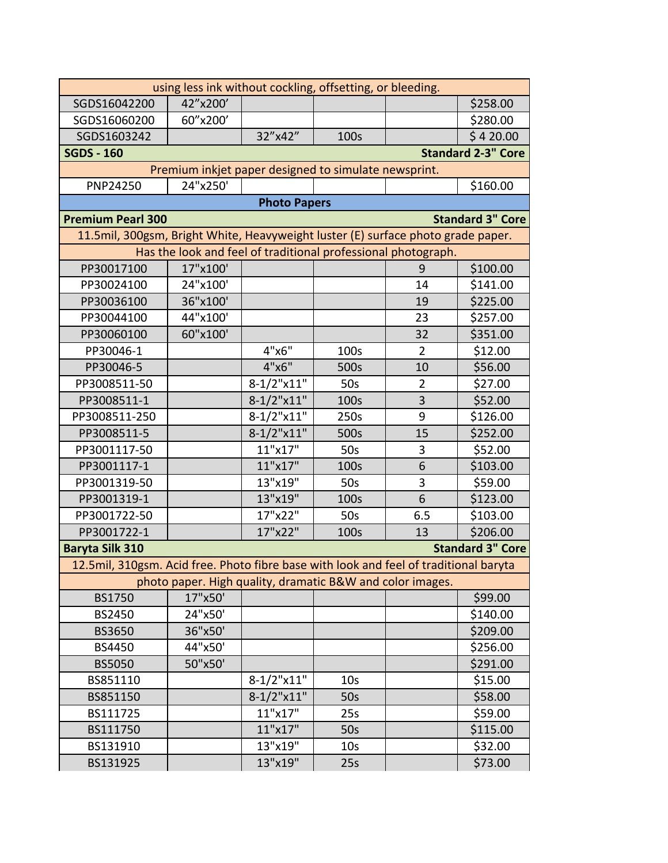| using less ink without cockling, offsetting, or bleeding.                             |                                                               |                     |                 |                |                           |  |
|---------------------------------------------------------------------------------------|---------------------------------------------------------------|---------------------|-----------------|----------------|---------------------------|--|
| SGDS16042200                                                                          | 42"x200'                                                      |                     |                 |                | \$258.00                  |  |
| SGDS16060200                                                                          | 60"x200'                                                      |                     |                 |                | \$280.00                  |  |
| SGDS1603242                                                                           |                                                               | 32"x42"             | 100s            |                | \$420.00                  |  |
| <b>SGDS - 160</b>                                                                     |                                                               |                     |                 |                | <b>Standard 2-3" Core</b> |  |
|                                                                                       | Premium inkjet paper designed to simulate newsprint.          |                     |                 |                |                           |  |
| PNP24250                                                                              | 24"x250'                                                      |                     |                 |                | \$160.00                  |  |
|                                                                                       |                                                               | <b>Photo Papers</b> |                 |                |                           |  |
| <b>Premium Pearl 300</b>                                                              |                                                               |                     |                 |                | <b>Standard 3" Core</b>   |  |
| 11.5mil, 300gsm, Bright White, Heavyweight luster (E) surface photo grade paper.      |                                                               |                     |                 |                |                           |  |
|                                                                                       | Has the look and feel of traditional professional photograph. |                     |                 |                |                           |  |
| PP30017100                                                                            | 17"x100'                                                      |                     |                 | 9              | \$100.00                  |  |
| PP30024100                                                                            | 24"x100'                                                      |                     |                 | 14             | \$141.00                  |  |
| PP30036100                                                                            | 36"x100'                                                      |                     |                 | 19             | \$225.00                  |  |
| PP30044100                                                                            | 44"x100'                                                      |                     |                 | 23             | \$257.00                  |  |
| PP30060100                                                                            | 60"x100'                                                      |                     |                 | 32             | \$351.00                  |  |
| PP30046-1                                                                             |                                                               | 4"x6"               | 100s            | $\overline{2}$ | \$12.00                   |  |
| PP30046-5                                                                             |                                                               | 4"x6"               | 500s            | 10             | \$56.00                   |  |
| PP3008511-50                                                                          |                                                               | $8-1/2$ "x11"       | 50 <sub>s</sub> | 2              | \$27.00                   |  |
| PP3008511-1                                                                           |                                                               | $8-1/2$ "x11"       | 100s            | 3              | \$52.00                   |  |
| PP3008511-250                                                                         |                                                               | $8-1/2$ "x11"       | 250s            | 9              | \$126.00                  |  |
| PP3008511-5                                                                           |                                                               | $8-1/2$ "x11"       | 500s            | 15             | \$252.00                  |  |
| PP3001117-50                                                                          |                                                               | 11"x17"             | 50s             | 3              | \$52.00                   |  |
| PP3001117-1                                                                           |                                                               | 11"x17"             | 100s            | 6              | \$103.00                  |  |
| PP3001319-50                                                                          |                                                               | 13"x19"             | 50s             | 3              | \$59.00                   |  |
| PP3001319-1                                                                           |                                                               | 13"x19"             | 100s            | 6              | \$123.00                  |  |
| PP3001722-50                                                                          |                                                               | 17"x22"             | 50 <sub>s</sub> | 6.5            | \$103.00                  |  |
| PP3001722-1                                                                           |                                                               | 17"x22"             | 100s            | 13             | \$206.00                  |  |
| <b>Baryta Silk 310</b>                                                                |                                                               |                     |                 |                | <b>Standard 3" Core</b>   |  |
| 12.5mil, 310gsm. Acid free. Photo fibre base with look and feel of traditional baryta |                                                               |                     |                 |                |                           |  |
|                                                                                       | photo paper. High quality, dramatic B&W and color images.     |                     |                 |                |                           |  |
| <b>BS1750</b>                                                                         | 17"x50'                                                       |                     |                 |                | \$99.00                   |  |
| <b>BS2450</b>                                                                         | 24"x50'                                                       |                     |                 |                | \$140.00                  |  |
| <b>BS3650</b>                                                                         | 36"x50'                                                       |                     |                 |                | \$209.00                  |  |
| <b>BS4450</b>                                                                         | 44"x50'                                                       |                     |                 |                | \$256.00                  |  |
| <b>BS5050</b>                                                                         | 50"x50'                                                       |                     |                 |                | \$291.00                  |  |
| BS851110                                                                              |                                                               | $8-1/2$ "x11"       | 10 <sub>s</sub> |                | \$15.00                   |  |
| BS851150                                                                              |                                                               | $8-1/2$ "x11"       | 50s             |                | \$58.00                   |  |
| BS111725                                                                              |                                                               | 11"x17"             | 25s             |                | \$59.00                   |  |
| BS111750                                                                              |                                                               | 11"x17"             | 50s             |                | \$115.00                  |  |
| BS131910                                                                              |                                                               | 13"x19"             | 10 <sub>S</sub> |                | \$32.00                   |  |
| BS131925                                                                              |                                                               | 13"x19"             | 25s             |                | \$73.00                   |  |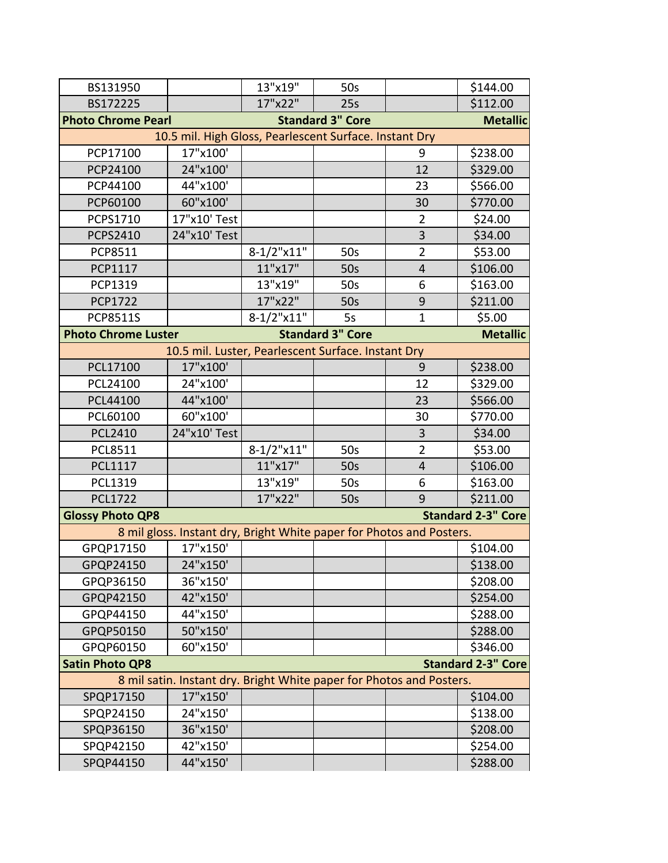| BS131950                                               |                                                                      | 13"x19"       | 50s                     |                | \$144.00                  |  |  |  |
|--------------------------------------------------------|----------------------------------------------------------------------|---------------|-------------------------|----------------|---------------------------|--|--|--|
| BS172225                                               |                                                                      | 17"x22"       | 25s                     |                | \$112.00                  |  |  |  |
| <b>Photo Chrome Pearl</b>                              |                                                                      |               | <b>Standard 3" Core</b> |                | <b>Metallic</b>           |  |  |  |
| 10.5 mil. High Gloss, Pearlescent Surface. Instant Dry |                                                                      |               |                         |                |                           |  |  |  |
| PCP17100                                               | 17"x100'                                                             |               |                         | 9              | \$238.00                  |  |  |  |
| PCP24100                                               | 24"x100'                                                             |               |                         | 12             | \$329.00                  |  |  |  |
| PCP44100                                               | 44"x100'                                                             |               |                         | 23             | \$566.00                  |  |  |  |
| PCP60100                                               | 60"x100'                                                             |               |                         | 30             | \$770.00                  |  |  |  |
| <b>PCPS1710</b>                                        | 17"x10' Test                                                         |               |                         | $\overline{2}$ | \$24.00                   |  |  |  |
| <b>PCPS2410</b>                                        | 24"x10' Test                                                         |               |                         | 3              | \$34.00                   |  |  |  |
| PCP8511                                                |                                                                      | $8-1/2$ "x11" | 50s                     | $\overline{2}$ | \$53.00                   |  |  |  |
| PCP1117                                                |                                                                      | 11"x17"       | 50 <sub>s</sub>         | $\overline{4}$ | \$106.00                  |  |  |  |
| PCP1319                                                |                                                                      | 13"x19"       | 50s                     | 6              | \$163.00                  |  |  |  |
| <b>PCP1722</b>                                         |                                                                      | 17"x22"       | 50s                     | 9              | \$211.00                  |  |  |  |
| <b>PCP8511S</b>                                        |                                                                      | $8-1/2$ "x11" | 5s                      | $\mathbf{1}$   | \$5.00                    |  |  |  |
| <b>Photo Chrome Luster</b>                             |                                                                      |               | <b>Standard 3" Core</b> |                | <b>Metallic</b>           |  |  |  |
|                                                        | 10.5 mil. Luster, Pearlescent Surface. Instant Dry                   |               |                         |                |                           |  |  |  |
| PCL17100                                               | 17"x100'                                                             |               |                         | 9              | \$238.00                  |  |  |  |
| PCL24100                                               | 24"x100'                                                             |               |                         | 12             | \$329.00                  |  |  |  |
| PCL44100                                               | 44"x100'                                                             |               |                         | 23             | \$566.00                  |  |  |  |
| PCL60100                                               | 60"x100'                                                             |               |                         | 30             | \$770.00                  |  |  |  |
| <b>PCL2410</b>                                         | 24"x10' Test                                                         |               |                         | 3              | \$34.00                   |  |  |  |
| <b>PCL8511</b>                                         |                                                                      | $8-1/2$ "x11" | 50s                     | $\overline{2}$ | \$53.00                   |  |  |  |
| PCL1117                                                |                                                                      | 11"x17"       | 50s                     | $\overline{4}$ | \$106.00                  |  |  |  |
| PCL1319                                                |                                                                      | 13"x19"       | 50s                     | 6              | \$163.00                  |  |  |  |
| <b>PCL1722</b>                                         |                                                                      | 17"x22"       | 50s                     | 9              | \$211.00                  |  |  |  |
| <b>Glossy Photo QP8</b>                                |                                                                      |               |                         |                | <b>Standard 2-3" Core</b> |  |  |  |
|                                                        | 8 mil gloss. Instant dry, Bright White paper for Photos and Posters. |               |                         |                |                           |  |  |  |
| GPQP17150                                              | 17"x150'                                                             |               |                         |                | \$104.00                  |  |  |  |
| GPQP24150                                              | 24"x150'                                                             |               |                         |                | \$138.00                  |  |  |  |
| GPQP36150                                              | 36"x150'                                                             |               |                         |                | \$208.00                  |  |  |  |
| GPQP42150                                              | 42"x150'                                                             |               |                         |                | \$254.00                  |  |  |  |
| GPQP44150                                              | 44"x150'                                                             |               |                         |                | \$288.00                  |  |  |  |
| GPQP50150                                              | 50"x150'                                                             |               |                         |                | \$288.00                  |  |  |  |
| GPQP60150                                              | 60"x150'                                                             |               |                         |                | \$346.00                  |  |  |  |
| <b>Satin Photo QP8</b>                                 |                                                                      |               |                         |                | <b>Standard 2-3" Core</b> |  |  |  |
|                                                        | 8 mil satin. Instant dry. Bright White paper for Photos and Posters. |               |                         |                |                           |  |  |  |
| SPQP17150                                              | 17"x150'                                                             |               |                         |                | \$104.00                  |  |  |  |
| SPQP24150                                              | 24"x150'                                                             |               |                         |                | \$138.00                  |  |  |  |
| SPQP36150                                              | 36"x150'                                                             |               |                         |                | \$208.00                  |  |  |  |
| SPQP42150                                              | 42"x150'                                                             |               |                         |                | \$254.00                  |  |  |  |
| SPQP44150                                              | 44"x150'                                                             |               |                         |                | \$288.00                  |  |  |  |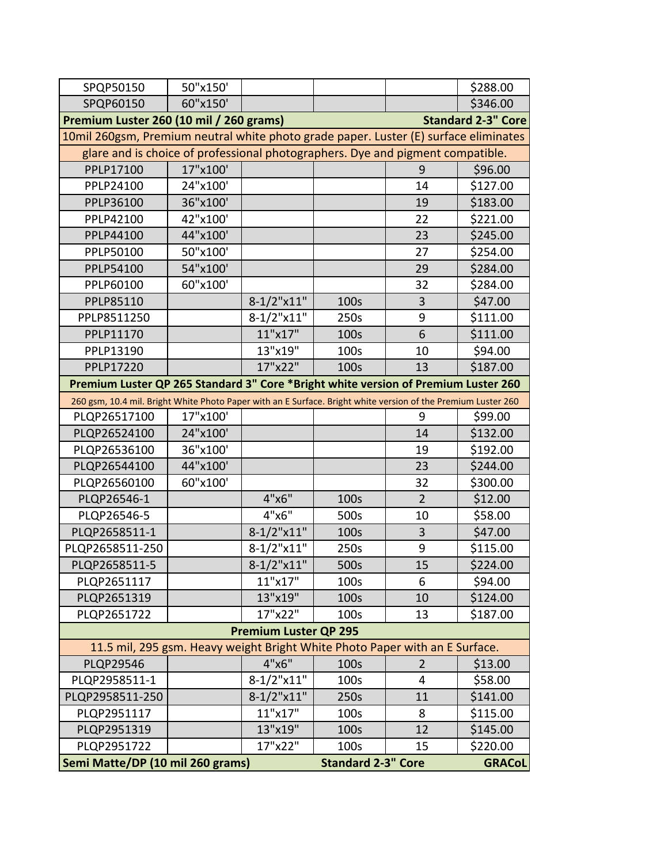| SPQP50150                                                                                                     | 50"x150' |                              |               |                | \$288.00                  |
|---------------------------------------------------------------------------------------------------------------|----------|------------------------------|---------------|----------------|---------------------------|
| SPQP60150                                                                                                     | 60"x150' |                              |               |                | \$346.00                  |
| Premium Luster 260 (10 mil / 260 grams)                                                                       |          |                              |               |                | <b>Standard 2-3" Core</b> |
| 10mil 260gsm, Premium neutral white photo grade paper. Luster (E) surface eliminates                          |          |                              |               |                |                           |
| glare and is choice of professional photographers. Dye and pigment compatible.                                |          |                              |               |                |                           |
| PPLP17100                                                                                                     | 17"x100' |                              |               | 9              | \$96.00                   |
| PPLP24100                                                                                                     | 24"x100' |                              |               | 14             | \$127.00                  |
| PPLP36100                                                                                                     | 36"x100' |                              |               | 19             | \$183.00                  |
| PPLP42100                                                                                                     | 42"x100' |                              |               | 22             | \$221.00                  |
| PPLP44100                                                                                                     | 44"x100' |                              |               | 23             | \$245.00                  |
| PPLP50100                                                                                                     | 50"x100' |                              |               | 27             | \$254.00                  |
| PPLP54100                                                                                                     | 54"x100' |                              |               | 29             | \$284.00                  |
| PPLP60100                                                                                                     | 60"x100' |                              |               | 32             | \$284.00                  |
| PPLP85110                                                                                                     |          | $8-1/2$ "x11"                | 100s          | 3              | \$47.00                   |
| PPLP8511250                                                                                                   |          | $8-1/2$ "x11"                | 250s          | 9              | \$111.00                  |
| PPLP11170                                                                                                     |          | 11"x17"                      | 100s          | 6              | \$111.00                  |
| PPLP13190                                                                                                     |          | 13"x19"                      | 100s          | 10             | \$94.00                   |
| PPLP17220                                                                                                     |          | 17"x22"                      | 100s          | 13             | \$187.00                  |
| Premium Luster QP 265 Standard 3" Core *Bright white version of Premium Luster 260                            |          |                              |               |                |                           |
| 260 gsm, 10.4 mil. Bright White Photo Paper with an E Surface. Bright white version of the Premium Luster 260 |          |                              |               |                |                           |
| PLQP26517100                                                                                                  | 17"x100' |                              |               | 9              | \$99.00                   |
| PLQP26524100                                                                                                  | 24"x100' |                              |               | 14             | \$132.00                  |
| PLQP26536100                                                                                                  | 36"x100' |                              |               | 19             | \$192.00                  |
| PLQP26544100                                                                                                  | 44"x100' |                              |               | 23             | \$244.00                  |
| PLQP26560100                                                                                                  | 60"x100' |                              |               | 32             | \$300.00                  |
| PLQP26546-1                                                                                                   |          | 4"x6"                        | 100s          | $\overline{2}$ | \$12.00                   |
| PLQP26546-5                                                                                                   |          | 4"x6"                        | 500s          | 10             | \$58.00                   |
| PLQP2658511-1                                                                                                 |          | $8-1/2$ "x11"                | 100s          | 3              | \$47.00                   |
| PLQP2658511-250                                                                                               |          | $8-1/2$ "x11"                | 250s          | 9              | \$115.00                  |
| PLQP2658511-5                                                                                                 |          | $8-1/2$ "x11"                | 500s          | 15             | \$224.00                  |
| PLQP2651117                                                                                                   |          | 11"x17"                      | 100s          | 6              | \$94.00                   |
| PLQP2651319                                                                                                   |          | 13"x19"                      | 100s          | 10             | \$124.00                  |
| PLQP2651722                                                                                                   |          | 17"x22"                      | 100s          | 13             | \$187.00                  |
|                                                                                                               |          | <b>Premium Luster QP 295</b> |               |                |                           |
| 11.5 mil, 295 gsm. Heavy weight Bright White Photo Paper with an E Surface.                                   |          |                              |               |                |                           |
| <b>PLQP29546</b>                                                                                              |          | 4"x6"                        | 100s          | $\overline{2}$ | \$13.00                   |
| PLQP2958511-1                                                                                                 |          | $8-1/2$ "x11"                | 100s          | 4              | \$58.00                   |
| PLQP2958511-250                                                                                               |          | $8-1/2$ "x11"                | 250s          | 11             | \$141.00                  |
| PLQP2951117                                                                                                   |          | 11"x17"                      | 100s          | 8              | \$115.00                  |
| PLQP2951319                                                                                                   |          | 13"x19"                      | 100s          | 12             | \$145.00                  |
| PLQP2951722                                                                                                   |          | 17"x22"                      | 100s          | 15             | \$220.00                  |
| <b>Standard 2-3" Core</b><br>Semi Matte/DP (10 mil 260 grams)                                                 |          |                              | <b>GRACoL</b> |                |                           |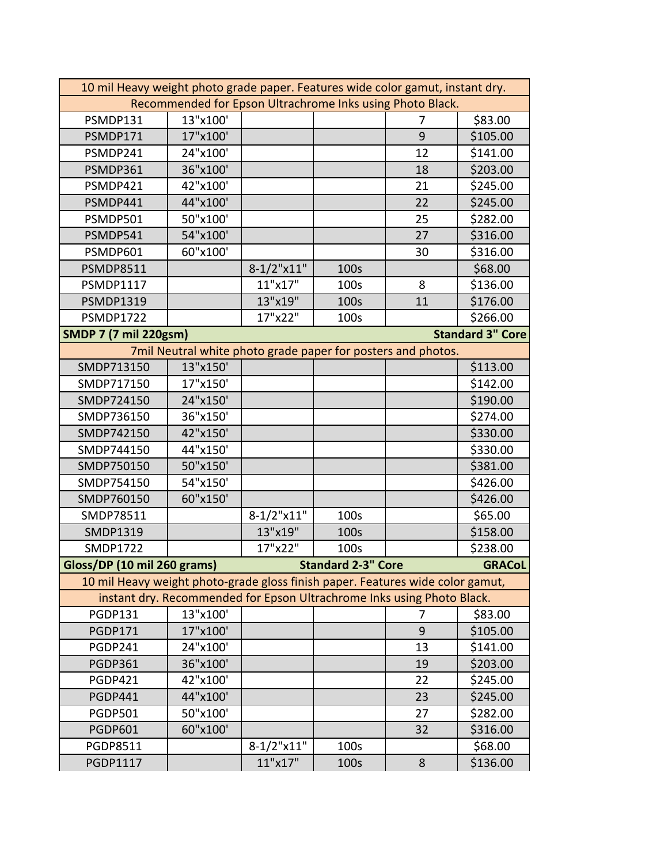| 10 mil Heavy weight photo grade paper. Features wide color gamut, instant dry. |                                                           |                                                                        |                           |    |                         |  |  |
|--------------------------------------------------------------------------------|-----------------------------------------------------------|------------------------------------------------------------------------|---------------------------|----|-------------------------|--|--|
|                                                                                | Recommended for Epson Ultrachrome Inks using Photo Black. |                                                                        |                           |    |                         |  |  |
| PSMDP131                                                                       | 13"x100'                                                  |                                                                        |                           | 7  | \$83.00                 |  |  |
| PSMDP171                                                                       | 17"x100'                                                  |                                                                        |                           | 9  | \$105.00                |  |  |
| PSMDP241                                                                       | 24"x100'                                                  |                                                                        |                           | 12 | \$141.00                |  |  |
| PSMDP361                                                                       | 36"x100'                                                  |                                                                        |                           | 18 | \$203.00                |  |  |
| PSMDP421                                                                       | 42"x100'                                                  |                                                                        |                           | 21 | \$245.00                |  |  |
| PSMDP441                                                                       | 44"x100'                                                  |                                                                        |                           | 22 | \$245.00                |  |  |
| PSMDP501                                                                       | 50"x100'                                                  |                                                                        |                           | 25 | \$282.00                |  |  |
| PSMDP541                                                                       | 54"x100'                                                  |                                                                        |                           | 27 | \$316.00                |  |  |
| PSMDP601                                                                       | 60"x100'                                                  |                                                                        |                           | 30 | \$316.00                |  |  |
| <b>PSMDP8511</b>                                                               |                                                           | $8-1/2$ "x11"                                                          | 100s                      |    | \$68.00                 |  |  |
| <b>PSMDP1117</b>                                                               |                                                           | 11"x17"                                                                | 100s                      | 8  | \$136.00                |  |  |
| <b>PSMDP1319</b>                                                               |                                                           | 13"x19"                                                                | 100s                      | 11 | \$176.00                |  |  |
| <b>PSMDP1722</b>                                                               |                                                           | 17"x22"                                                                | 100s                      |    | \$266.00                |  |  |
| <b>SMDP 7 (7 mil 220gsm)</b>                                                   |                                                           |                                                                        |                           |    | <b>Standard 3" Core</b> |  |  |
| 7mil Neutral white photo grade paper for posters and photos.                   |                                                           |                                                                        |                           |    |                         |  |  |
| SMDP713150                                                                     | 13"x150'                                                  |                                                                        |                           |    | \$113.00                |  |  |
| SMDP717150                                                                     | 17"x150'                                                  |                                                                        |                           |    | \$142.00                |  |  |
| SMDP724150                                                                     | 24"x150'                                                  |                                                                        |                           |    | \$190.00                |  |  |
| SMDP736150                                                                     | 36"x150'                                                  |                                                                        |                           |    | \$274.00                |  |  |
| SMDP742150                                                                     | 42"x150'                                                  |                                                                        |                           |    | \$330.00                |  |  |
| SMDP744150                                                                     | 44"x150'                                                  |                                                                        |                           |    | \$330.00                |  |  |
| SMDP750150                                                                     | 50"x150'                                                  |                                                                        |                           |    | \$381.00                |  |  |
| SMDP754150                                                                     | 54"x150'                                                  |                                                                        |                           |    | \$426.00                |  |  |
| SMDP760150                                                                     | 60"x150'                                                  |                                                                        |                           |    | \$426.00                |  |  |
| SMDP78511                                                                      |                                                           | $8-1/2$ "x11"                                                          | 100s                      |    | \$65.00                 |  |  |
| SMDP1319                                                                       |                                                           | 13"x19"                                                                | 100s                      |    | \$158.00                |  |  |
| SMDP1722                                                                       |                                                           | 17"x22"                                                                | 100s                      |    | \$238.00                |  |  |
| Gloss/DP (10 mil 260 grams)                                                    |                                                           |                                                                        | <b>Standard 2-3" Core</b> |    | GRACOL                  |  |  |
| 10 mil Heavy weight photo-grade gloss finish paper. Features wide color gamut, |                                                           |                                                                        |                           |    |                         |  |  |
|                                                                                |                                                           | instant dry. Recommended for Epson Ultrachrome Inks using Photo Black. |                           |    |                         |  |  |
| <b>PGDP131</b>                                                                 | 13"x100'                                                  |                                                                        |                           | 7  | \$83.00                 |  |  |
| <b>PGDP171</b>                                                                 | 17"x100'                                                  |                                                                        |                           | 9  | \$105.00                |  |  |
| <b>PGDP241</b>                                                                 | 24"x100'                                                  |                                                                        |                           | 13 | \$141.00                |  |  |
| <b>PGDP361</b>                                                                 | 36"x100'                                                  |                                                                        |                           | 19 | \$203.00                |  |  |
| <b>PGDP421</b>                                                                 | 42"x100'                                                  |                                                                        |                           | 22 | \$245.00                |  |  |
| <b>PGDP441</b>                                                                 | 44"x100'                                                  |                                                                        |                           | 23 | \$245.00                |  |  |
| <b>PGDP501</b>                                                                 | 50"x100'                                                  |                                                                        |                           | 27 | \$282.00                |  |  |
| <b>PGDP601</b>                                                                 | 60"x100'                                                  |                                                                        |                           | 32 | \$316.00                |  |  |
| PGDP8511                                                                       |                                                           | $8-1/2$ "x11"                                                          | 100s                      |    | \$68.00                 |  |  |
| PGDP1117                                                                       |                                                           | 11"x17"                                                                | 100s                      | 8  | \$136.00                |  |  |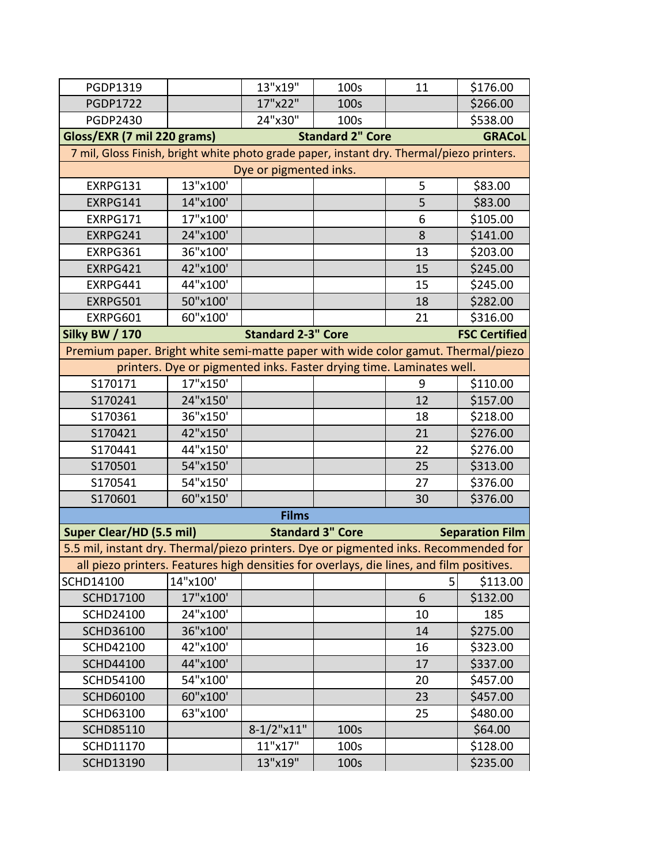| PGDP1319                                                                                  |          | 13"x19"                   | 100s                    | 11             | \$176.00               |  |  |
|-------------------------------------------------------------------------------------------|----------|---------------------------|-------------------------|----------------|------------------------|--|--|
| <b>PGDP1722</b>                                                                           |          | 17"x22"                   | 100s                    |                | \$266.00               |  |  |
| <b>PGDP2430</b>                                                                           |          | 24"x30"                   | 100s                    |                | \$538.00               |  |  |
| Gloss/EXR (7 mil 220 grams)                                                               |          |                           | <b>Standard 2" Core</b> |                | <b>GRACoL</b>          |  |  |
| 7 mil, Gloss Finish, bright white photo grade paper, instant dry. Thermal/piezo printers. |          |                           |                         |                |                        |  |  |
|                                                                                           |          | Dye or pigmented inks.    |                         |                |                        |  |  |
| EXRPG131                                                                                  | 13"x100' |                           |                         | 5              | \$83.00                |  |  |
| EXRPG141                                                                                  | 14"x100' |                           |                         | 5              | \$83.00                |  |  |
| EXRPG171                                                                                  | 17"x100' |                           |                         | 6              | \$105.00               |  |  |
| EXRPG241                                                                                  | 24"x100' |                           |                         | 8              | \$141.00               |  |  |
| EXRPG361                                                                                  | 36"x100' |                           |                         | 13             | \$203.00               |  |  |
| EXRPG421                                                                                  | 42"x100' |                           |                         | 15             | \$245.00               |  |  |
| EXRPG441                                                                                  | 44"x100' |                           |                         | 15             | \$245.00               |  |  |
| EXRPG501                                                                                  | 50"x100' |                           |                         | 18             | \$282.00               |  |  |
| EXRPG601                                                                                  | 60"x100' |                           |                         | 21             | \$316.00               |  |  |
| <b>Silky BW / 170</b>                                                                     |          | <b>Standard 2-3" Core</b> |                         |                | <b>FSC Certified</b>   |  |  |
| Premium paper. Bright white semi-matte paper with wide color gamut. Thermal/piezo         |          |                           |                         |                |                        |  |  |
| printers. Dye or pigmented inks. Faster drying time. Laminates well.                      |          |                           |                         |                |                        |  |  |
| S170171                                                                                   | 17"x150' |                           |                         | 9              | \$110.00               |  |  |
| S170241                                                                                   | 24"x150' |                           |                         | 12             | \$157.00               |  |  |
| S170361                                                                                   | 36"x150' |                           |                         | 18             | \$218.00               |  |  |
| S170421                                                                                   | 42"x150' |                           |                         | 21             | \$276.00               |  |  |
| S170441                                                                                   | 44"x150' |                           |                         | 22             | \$276.00               |  |  |
| S170501                                                                                   | 54"x150' |                           |                         | 25             | \$313.00               |  |  |
| S170541                                                                                   | 54"x150' |                           |                         | 27             | \$376.00               |  |  |
| S170601                                                                                   | 60"x150' |                           |                         | 30             | \$376.00               |  |  |
|                                                                                           |          | <b>Films</b>              |                         |                |                        |  |  |
| <b>Super Clear/HD (5.5 mil)</b>                                                           |          |                           | <b>Standard 3" Core</b> |                | <b>Separation Film</b> |  |  |
| 5.5 mil, instant dry. Thermal/piezo printers. Dye or pigmented inks. Recommended for      |          |                           |                         |                |                        |  |  |
| all piezo printers. Features high densities for overlays, die lines, and film positives.  |          |                           |                         |                |                        |  |  |
| SCHD14100                                                                                 | 14"x100' |                           |                         | 5 <sup>1</sup> | \$113.00               |  |  |
| <b>SCHD17100</b>                                                                          | 17"x100' |                           |                         | 6              | \$132.00               |  |  |
| <b>SCHD24100</b>                                                                          | 24"x100' |                           |                         | 10             | 185                    |  |  |
| <b>SCHD36100</b>                                                                          | 36"x100' |                           |                         | 14             | \$275.00               |  |  |
| <b>SCHD42100</b>                                                                          | 42"x100' |                           |                         | 16             | \$323.00               |  |  |
| <b>SCHD44100</b>                                                                          | 44"x100' |                           |                         | 17             | \$337.00               |  |  |
| <b>SCHD54100</b>                                                                          | 54"x100' |                           |                         | 20             | \$457.00               |  |  |
| <b>SCHD60100</b>                                                                          | 60"x100' |                           |                         | 23             | \$457.00               |  |  |
| <b>SCHD63100</b>                                                                          | 63"x100' |                           |                         | 25             | \$480.00               |  |  |
| <b>SCHD85110</b>                                                                          |          | $8-1/2$ "x11"             | 100s                    |                | \$64.00                |  |  |
| SCHD11170                                                                                 |          | 11"x17"                   | 100s                    |                | \$128.00               |  |  |
| <b>SCHD13190</b>                                                                          |          | 13"x19"                   | 100s                    |                | \$235.00               |  |  |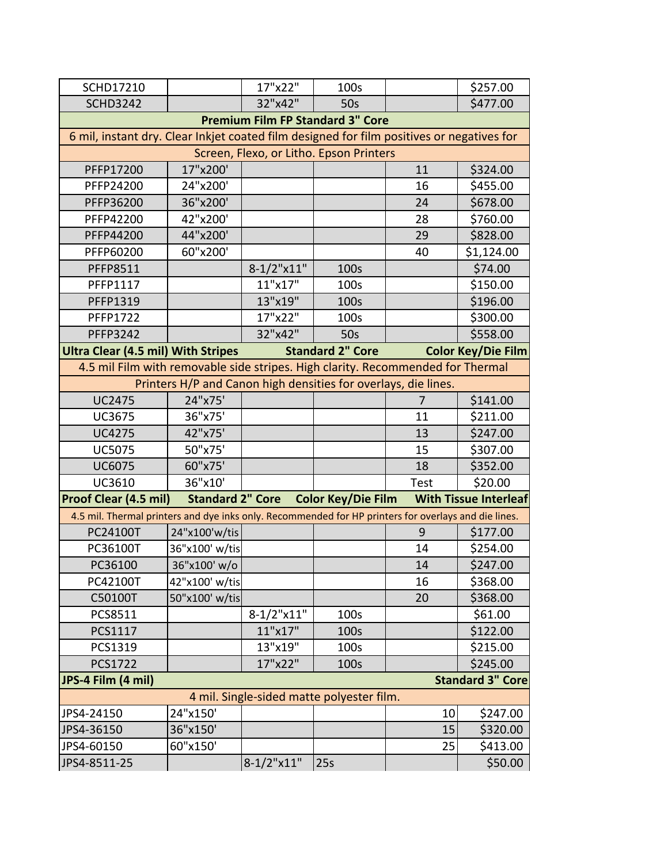| <b>SCHD17210</b>                                                                                     |                         | 17"x22"       | 100s                                      |             | \$257.00                     |  |  |
|------------------------------------------------------------------------------------------------------|-------------------------|---------------|-------------------------------------------|-------------|------------------------------|--|--|
| <b>SCHD3242</b>                                                                                      |                         | 32"x42"       | 50 <sub>s</sub>                           |             | \$477.00                     |  |  |
|                                                                                                      |                         |               | <b>Premium Film FP Standard 3" Core</b>   |             |                              |  |  |
| 6 mil, instant dry. Clear Inkjet coated film designed for film positives or negatives for            |                         |               |                                           |             |                              |  |  |
|                                                                                                      |                         |               | Screen, Flexo, or Litho. Epson Printers   |             |                              |  |  |
| PFFP17200                                                                                            | 17"x200'                |               |                                           | 11          | \$324.00                     |  |  |
| PFFP24200                                                                                            | 24"x200'                |               |                                           | 16          | \$455.00                     |  |  |
| PFFP36200                                                                                            | 36"x200'                |               |                                           | 24          | \$678.00                     |  |  |
| PFFP42200                                                                                            | 42"x200'                |               |                                           | 28          | \$760.00                     |  |  |
| PFFP44200                                                                                            | 44"x200'                |               |                                           | 29          | \$828.00                     |  |  |
| PFFP60200                                                                                            | 60"x200'                |               |                                           | 40          | \$1,124.00                   |  |  |
| <b>PFFP8511</b>                                                                                      |                         | $8-1/2$ "x11" | 100s                                      |             | \$74.00                      |  |  |
| PFFP1117                                                                                             |                         | 11"x17"       | 100s                                      |             | \$150.00                     |  |  |
| PFFP1319                                                                                             |                         | 13"x19"       | 100s                                      |             | \$196.00                     |  |  |
| <b>PFFP1722</b>                                                                                      |                         | 17"x22"       | 100s                                      |             | \$300.00                     |  |  |
| <b>PFFP3242</b>                                                                                      |                         | 32"x42"       | 50s                                       |             | \$558.00                     |  |  |
| <b>Ultra Clear (4.5 mil) With Stripes</b>                                                            |                         |               | <b>Standard 2" Core</b>                   |             | <b>Color Key/Die Film</b>    |  |  |
| 4.5 mil Film with removable side stripes. High clarity. Recommended for Thermal                      |                         |               |                                           |             |                              |  |  |
| Printers H/P and Canon high densities for overlays, die lines.                                       |                         |               |                                           |             |                              |  |  |
| <b>UC2475</b>                                                                                        | 24"x75'                 |               |                                           | 7           | \$141.00                     |  |  |
| <b>UC3675</b>                                                                                        | 36"x75'                 |               |                                           | 11          | \$211.00                     |  |  |
| <b>UC4275</b>                                                                                        | 42"x75'                 |               |                                           | 13          | \$247.00                     |  |  |
| <b>UC5075</b>                                                                                        | 50"x75'                 |               |                                           | 15          | \$307.00                     |  |  |
| <b>UC6075</b>                                                                                        | 60"x75'                 |               |                                           | 18          | \$352.00                     |  |  |
| UC3610                                                                                               | 36"x10'                 |               |                                           | <b>Test</b> | \$20.00                      |  |  |
| <b>Proof Clear (4.5 mil)</b>                                                                         | <b>Standard 2" Core</b> |               | <b>Color Key/Die Film</b>                 |             | <b>With Tissue Interleaf</b> |  |  |
| 4.5 mil. Thermal printers and dye inks only. Recommended for HP printers for overlays and die lines. |                         |               |                                           |             |                              |  |  |
| PC24100T                                                                                             | 24"x100'w/tis           |               |                                           | 9           | \$177.00                     |  |  |
| PC36100T                                                                                             | 36"x100' w/tis          |               |                                           | 14          | \$254.00                     |  |  |
| PC36100                                                                                              | 36"x100' w/o            |               |                                           | 14          | \$247.00                     |  |  |
| PC42100T                                                                                             | 42"x100' w/tis          |               |                                           | 16          | \$368.00                     |  |  |
| C50100T                                                                                              | 50"x100' w/tis          |               |                                           | 20          | \$368.00                     |  |  |
| PCS8511                                                                                              |                         | $8-1/2$ "x11" | 100s                                      |             | \$61.00                      |  |  |
| PCS1117                                                                                              |                         | 11"x17"       | 100s                                      |             | \$122.00                     |  |  |
| PCS1319                                                                                              |                         | 13"x19"       | 100s                                      |             | \$215.00                     |  |  |
| <b>PCS1722</b>                                                                                       |                         | 17"x22"       | 100s                                      |             | \$245.00                     |  |  |
| JPS-4 Film (4 mil)                                                                                   |                         |               |                                           |             | <b>Standard 3" Core</b>      |  |  |
|                                                                                                      |                         |               | 4 mil. Single-sided matte polyester film. |             |                              |  |  |
| JPS4-24150                                                                                           | 24"x150'                |               |                                           | 10          | \$247.00                     |  |  |
| JPS4-36150                                                                                           | 36"x150'                |               |                                           | 15          | \$320.00                     |  |  |
| JPS4-60150                                                                                           | 60"x150'                |               |                                           | 25          | \$413.00                     |  |  |
| JPS4-8511-25                                                                                         |                         | 8-1/2"x11"    | 25s                                       |             | \$50.00                      |  |  |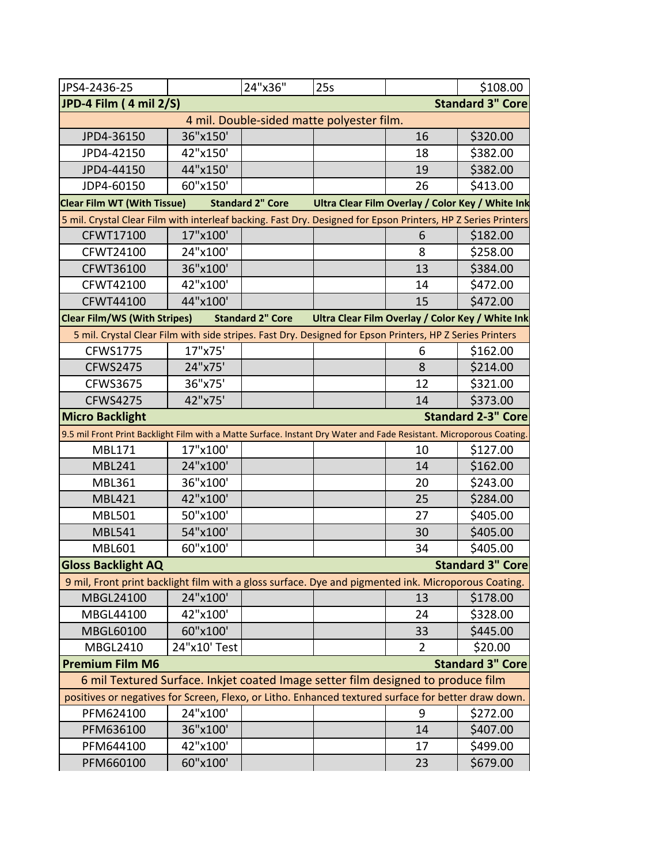| JPS4-2436-25                                                                                                        |                                                                                                                    | 24"x36"                 | 25s                                              |                | \$108.00                  |  |
|---------------------------------------------------------------------------------------------------------------------|--------------------------------------------------------------------------------------------------------------------|-------------------------|--------------------------------------------------|----------------|---------------------------|--|
| JPD-4 Film (4 mil 2/S)                                                                                              |                                                                                                                    |                         |                                                  |                | <b>Standard 3" Core</b>   |  |
|                                                                                                                     |                                                                                                                    |                         | 4 mil. Double-sided matte polyester film.        |                |                           |  |
| JPD4-36150                                                                                                          | 36"x150'                                                                                                           |                         |                                                  | 16             | \$320.00                  |  |
| JPD4-42150                                                                                                          | 42"x150'                                                                                                           |                         |                                                  | 18             | \$382.00                  |  |
| JPD4-44150                                                                                                          | 44"x150'                                                                                                           |                         |                                                  | 19             | \$382.00                  |  |
| JDP4-60150                                                                                                          | 60"x150'                                                                                                           |                         |                                                  | 26             | \$413.00                  |  |
| <b>Clear Film WT (With Tissue)</b>                                                                                  |                                                                                                                    | <b>Standard 2" Core</b> | Ultra Clear Film Overlay / Color Key / White Ink |                |                           |  |
| 5 mil. Crystal Clear Film with interleaf backing. Fast Dry. Designed for Epson Printers, HP Z Series Printers       |                                                                                                                    |                         |                                                  |                |                           |  |
| CFWT17100                                                                                                           | 17"x100'                                                                                                           |                         |                                                  | 6              | \$182.00                  |  |
| CFWT24100                                                                                                           | 24"x100'                                                                                                           |                         |                                                  | 8              | \$258.00                  |  |
| CFWT36100                                                                                                           | 36"x100'                                                                                                           |                         |                                                  | 13             | \$384.00                  |  |
| CFWT42100                                                                                                           | 42"x100'                                                                                                           |                         |                                                  | 14             | \$472.00                  |  |
| <b>CFWT44100</b>                                                                                                    | 44"x100'                                                                                                           |                         |                                                  | 15             | \$472.00                  |  |
|                                                                                                                     | <b>Clear Film/WS (With Stripes)</b><br><b>Standard 2" Core</b><br>Ultra Clear Film Overlay / Color Key / White Ink |                         |                                                  |                |                           |  |
| 5 mil. Crystal Clear Film with side stripes. Fast Dry. Designed for Epson Printers, HP Z Series Printers            |                                                                                                                    |                         |                                                  |                |                           |  |
| <b>CFWS1775</b>                                                                                                     | 17"x75'                                                                                                            |                         |                                                  | 6              | \$162.00                  |  |
| <b>CFWS2475</b>                                                                                                     | 24"x75'                                                                                                            |                         |                                                  | 8              | \$214.00                  |  |
| <b>CFWS3675</b>                                                                                                     | 36"x75'                                                                                                            |                         |                                                  | 12             | \$321.00                  |  |
| <b>CFWS4275</b>                                                                                                     | 42"x75'                                                                                                            |                         |                                                  | 14             | \$373.00                  |  |
| <b>Micro Backlight</b>                                                                                              |                                                                                                                    |                         |                                                  |                | <b>Standard 2-3" Core</b> |  |
| 9.5 mil Front Print Backlight Film with a Matte Surface. Instant Dry Water and Fade Resistant. Microporous Coating. |                                                                                                                    |                         |                                                  |                |                           |  |
| <b>MBL171</b>                                                                                                       | 17"x100'                                                                                                           |                         |                                                  | 10             | \$127.00                  |  |
| <b>MBL241</b>                                                                                                       | 24"x100'                                                                                                           |                         |                                                  | 14             | \$162.00                  |  |
| <b>MBL361</b>                                                                                                       | 36"x100'                                                                                                           |                         |                                                  | 20             | \$243.00                  |  |
| <b>MBL421</b>                                                                                                       | 42"x100'                                                                                                           |                         |                                                  | 25             | \$284.00                  |  |
| <b>MBL501</b>                                                                                                       | 50"x100'                                                                                                           |                         |                                                  | 27             | \$405.00                  |  |
| <b>MBL541</b>                                                                                                       | 54"x100'                                                                                                           |                         |                                                  | 30             | \$405.00                  |  |
| <b>MBL601</b>                                                                                                       | 60"x100'                                                                                                           |                         |                                                  | 34             | \$405.00                  |  |
| <b>Gloss Backlight AQ</b>                                                                                           |                                                                                                                    |                         |                                                  |                | <b>Standard 3" Core</b>   |  |
| 9 mil, Front print backlight film with a gloss surface. Dye and pigmented ink. Microporous Coating.                 |                                                                                                                    |                         |                                                  |                |                           |  |
| MBGL24100                                                                                                           | 24"x100'                                                                                                           |                         |                                                  | 13             | \$178.00                  |  |
| MBGL44100                                                                                                           | 42"x100'                                                                                                           |                         |                                                  | 24             | \$328.00                  |  |
| MBGL60100                                                                                                           | 60"x100'                                                                                                           |                         |                                                  | 33             | \$445.00                  |  |
| MBGL2410                                                                                                            | 24"x10' Test                                                                                                       |                         |                                                  | $\overline{2}$ | \$20.00                   |  |
| <b>Premium Film M6</b>                                                                                              |                                                                                                                    |                         |                                                  |                | <b>Standard 3" Core</b>   |  |
| 6 mil Textured Surface. Inkjet coated Image setter film designed to produce film                                    |                                                                                                                    |                         |                                                  |                |                           |  |
| positives or negatives for Screen, Flexo, or Litho. Enhanced textured surface for better draw down.                 |                                                                                                                    |                         |                                                  |                |                           |  |
| PFM624100                                                                                                           | 24"x100'                                                                                                           |                         |                                                  | 9              | \$272.00                  |  |
| PFM636100                                                                                                           | 36"x100'                                                                                                           |                         |                                                  | 14             | \$407.00                  |  |
| PFM644100                                                                                                           | 42"x100'                                                                                                           |                         |                                                  | 17             | \$499.00                  |  |
| PFM660100                                                                                                           | 60"x100'                                                                                                           |                         |                                                  | 23             | \$679.00                  |  |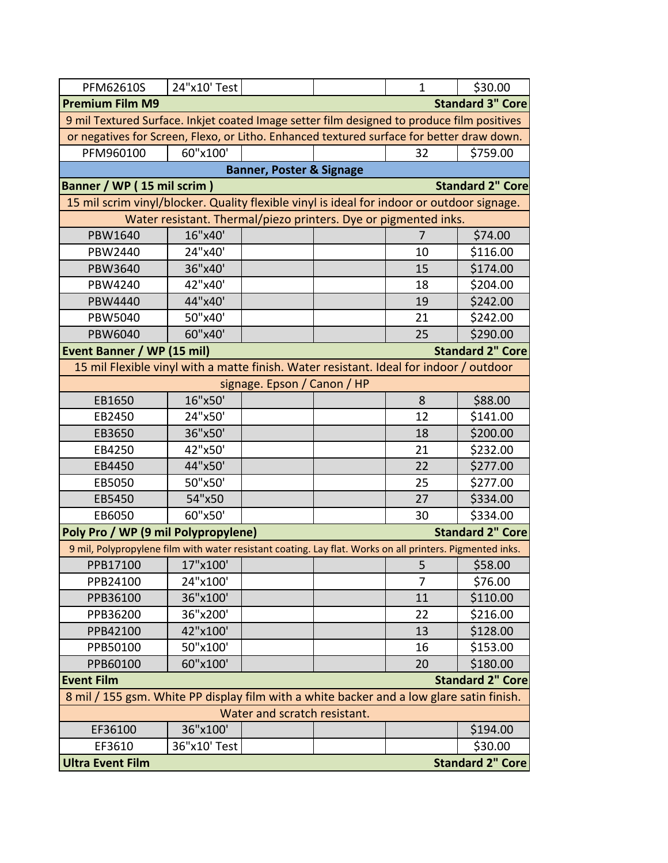| <b>PFM62610S</b>                                                                                         | 24"x10' Test                                                    |                                     | $\mathbf{1}$ | \$30.00                 |
|----------------------------------------------------------------------------------------------------------|-----------------------------------------------------------------|-------------------------------------|--------------|-------------------------|
| <b>Premium Film M9</b>                                                                                   |                                                                 |                                     |              | <b>Standard 3" Core</b> |
| 9 mil Textured Surface. Inkjet coated Image setter film designed to produce film positives               |                                                                 |                                     |              |                         |
| or negatives for Screen, Flexo, or Litho. Enhanced textured surface for better draw down.                |                                                                 |                                     |              |                         |
| PFM960100                                                                                                | 60"x100'                                                        |                                     | 32           | \$759.00                |
|                                                                                                          |                                                                 | <b>Banner, Poster &amp; Signage</b> |              |                         |
| <b>Banner / WP (15 mil scrim)</b>                                                                        |                                                                 |                                     |              | <b>Standard 2" Core</b> |
| 15 mil scrim vinyl/blocker. Quality flexible vinyl is ideal for indoor or outdoor signage.               |                                                                 |                                     |              |                         |
|                                                                                                          | Water resistant. Thermal/piezo printers. Dye or pigmented inks. |                                     |              |                         |
| PBW1640                                                                                                  | 16"x40'                                                         |                                     | 7            | \$74.00                 |
| PBW2440                                                                                                  | 24"x40'                                                         |                                     | 10           | \$116.00                |
| PBW3640                                                                                                  | 36"x40'                                                         |                                     | 15           | \$174.00                |
| PBW4240                                                                                                  | 42"x40'                                                         |                                     | 18           | \$204.00                |
| PBW4440                                                                                                  | 44"x40'                                                         |                                     | 19           | \$242.00                |
| PBW5040                                                                                                  | 50"x40'                                                         |                                     | 21           | \$242.00                |
| PBW6040                                                                                                  | 60"x40'                                                         |                                     | 25           | \$290.00                |
| <b>Event Banner / WP (15 mil)</b>                                                                        |                                                                 |                                     |              | <b>Standard 2" Core</b> |
| 15 mil Flexible vinyl with a matte finish. Water resistant. Ideal for indoor / outdoor                   |                                                                 |                                     |              |                         |
|                                                                                                          |                                                                 | signage. Epson / Canon / HP         |              |                         |
| EB1650                                                                                                   | 16"x50'                                                         |                                     | 8            | \$88.00                 |
| EB2450                                                                                                   | 24"x50'                                                         |                                     | 12           | \$141.00                |
| EB3650                                                                                                   | 36"x50'                                                         |                                     | 18           | \$200.00                |
| EB4250                                                                                                   | 42"x50'                                                         |                                     | 21           | \$232.00                |
| EB4450                                                                                                   | 44"x50'                                                         |                                     | 22           | \$277.00                |
| EB5050                                                                                                   | 50"x50'                                                         |                                     | 25           | \$277.00                |
| EB5450                                                                                                   | 54"x50                                                          |                                     | 27           | \$334.00                |
| EB6050                                                                                                   | 60"x50'                                                         |                                     | 30           | \$334.00                |
| Poly Pro / WP (9 mil Polypropylene)                                                                      |                                                                 |                                     |              | <b>Standard 2" Core</b> |
| 9 mil, Polypropylene film with water resistant coating. Lay flat. Works on all printers. Pigmented inks. |                                                                 |                                     |              |                         |
| PPB17100                                                                                                 | 17"x100'                                                        |                                     | 5            | \$58.00                 |
| PPB24100                                                                                                 | 24"x100'                                                        |                                     | 7            | \$76.00                 |
| PPB36100                                                                                                 | 36"x100'                                                        |                                     | 11           | \$110.00                |
| PPB36200                                                                                                 | 36"x200'                                                        |                                     | 22           | \$216.00                |
| PPB42100                                                                                                 | 42"x100'                                                        |                                     | 13           | \$128.00                |
| PPB50100                                                                                                 | 50"x100'                                                        |                                     | 16           | \$153.00                |
| PPB60100                                                                                                 | 60"x100'                                                        |                                     | 20           | \$180.00                |
| <b>Event Film</b>                                                                                        |                                                                 |                                     |              | <b>Standard 2" Core</b> |
| 8 mil / 155 gsm. White PP display film with a white backer and a low glare satin finish.                 |                                                                 |                                     |              |                         |
|                                                                                                          |                                                                 | Water and scratch resistant.        |              |                         |
| EF36100                                                                                                  | 36"x100"                                                        |                                     |              | \$194.00                |
| EF3610                                                                                                   | 36"x10' Test                                                    |                                     |              | \$30.00                 |
| <b>Ultra Event Film</b>                                                                                  |                                                                 |                                     |              | <b>Standard 2" Core</b> |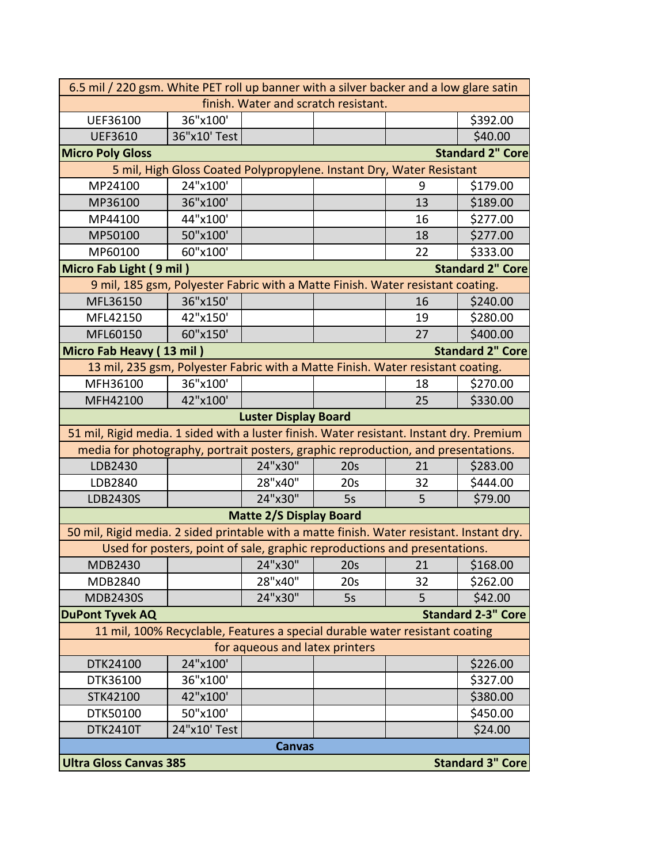|                                                                                           | 6.5 mil / 220 gsm. White PET roll up banner with a silver backer and a low glare satin |                                |                                      |    |                           |
|-------------------------------------------------------------------------------------------|----------------------------------------------------------------------------------------|--------------------------------|--------------------------------------|----|---------------------------|
|                                                                                           |                                                                                        |                                | finish. Water and scratch resistant. |    |                           |
| UEF36100                                                                                  | 36"x100'                                                                               |                                |                                      |    | \$392.00                  |
| <b>UEF3610</b>                                                                            | 36"x10' Test                                                                           |                                |                                      |    | \$40.00                   |
| <b>Micro Poly Gloss</b>                                                                   |                                                                                        |                                |                                      |    | <b>Standard 2" Core</b>   |
|                                                                                           | 5 mil, High Gloss Coated Polypropylene. Instant Dry, Water Resistant                   |                                |                                      |    |                           |
| MP24100                                                                                   | 24"x100'                                                                               |                                |                                      | 9  | \$179.00                  |
| MP36100                                                                                   | 36"x100'                                                                               |                                |                                      | 13 | \$189.00                  |
| MP44100                                                                                   | 44"x100'                                                                               |                                |                                      | 16 | \$277.00                  |
| MP50100                                                                                   | 50"x100'                                                                               |                                |                                      | 18 | \$277.00                  |
| MP60100                                                                                   | 60"x100'                                                                               |                                |                                      | 22 | \$333.00                  |
| <b>Standard 2" Core</b><br>Micro Fab Light (9 mil)                                        |                                                                                        |                                |                                      |    |                           |
| 9 mil, 185 gsm, Polyester Fabric with a Matte Finish. Water resistant coating.            |                                                                                        |                                |                                      |    |                           |
| MFL36150                                                                                  | 36"x150'                                                                               |                                |                                      | 16 | \$240.00                  |
| MFL42150                                                                                  | 42"x150'                                                                               |                                |                                      | 19 | \$280.00                  |
| MFL60150                                                                                  | 60"x150'                                                                               |                                |                                      | 27 | \$400.00                  |
| Micro Fab Heavy (13 mil)                                                                  |                                                                                        |                                |                                      |    | <b>Standard 2" Core</b>   |
| 13 mil, 235 gsm, Polyester Fabric with a Matte Finish. Water resistant coating.           |                                                                                        |                                |                                      |    |                           |
| MFH36100                                                                                  | 36"x100'                                                                               |                                |                                      | 18 | \$270.00                  |
| MFH42100                                                                                  | 42"x100'                                                                               |                                |                                      | 25 | \$330.00                  |
|                                                                                           |                                                                                        | <b>Luster Display Board</b>    |                                      |    |                           |
| 51 mil, Rigid media. 1 sided with a luster finish. Water resistant. Instant dry. Premium  |                                                                                        |                                |                                      |    |                           |
| media for photography, portrait posters, graphic reproduction, and presentations.         |                                                                                        |                                |                                      |    |                           |
| LDB2430                                                                                   |                                                                                        | 24"x30"                        | 20s                                  | 21 | \$283.00                  |
| LDB2840                                                                                   |                                                                                        | 28"x40"                        | 20 <sub>s</sub>                      | 32 | \$444.00                  |
| LDB2430S                                                                                  |                                                                                        | 24"x30"                        | 5s                                   | 5  | \$79.00                   |
|                                                                                           |                                                                                        | <b>Matte 2/S Display Board</b> |                                      |    |                           |
| 50 mil, Rigid media. 2 sided printable with a matte finish. Water resistant. Instant dry. |                                                                                        |                                |                                      |    |                           |
|                                                                                           | Used for posters, point of sale, graphic reproductions and presentations.              |                                |                                      |    |                           |
| MDB2430                                                                                   |                                                                                        | 24"x30"                        | 20s                                  | 21 | \$168.00                  |
| MDB2840                                                                                   |                                                                                        | 28"x40"                        | 20s                                  | 32 | \$262.00                  |
| <b>MDB2430S</b>                                                                           |                                                                                        | 24"x30"                        | 5s                                   | 5  | \$42.00                   |
| <b>DuPont Tyvek AQ</b>                                                                    |                                                                                        |                                |                                      |    | <b>Standard 2-3" Core</b> |
|                                                                                           | 11 mil, 100% Recyclable, Features a special durable water resistant coating            |                                |                                      |    |                           |
| for aqueous and latex printers                                                            |                                                                                        |                                |                                      |    |                           |
| DTK24100                                                                                  | 24"x100'                                                                               |                                |                                      |    | \$226.00                  |
| DTK36100                                                                                  | 36"x100'                                                                               |                                |                                      |    | \$327.00                  |
| STK42100                                                                                  | 42"x100'                                                                               |                                |                                      |    | \$380.00                  |
| DTK50100                                                                                  | 50"x100'                                                                               |                                |                                      |    | \$450.00                  |
| <b>DTK2410T</b>                                                                           | 24"x10' Test                                                                           |                                |                                      |    | \$24.00                   |
|                                                                                           |                                                                                        | <b>Canvas</b>                  |                                      |    |                           |
| <b>Ultra Gloss Canvas 385</b><br><b>Standard 3" Core</b>                                  |                                                                                        |                                |                                      |    |                           |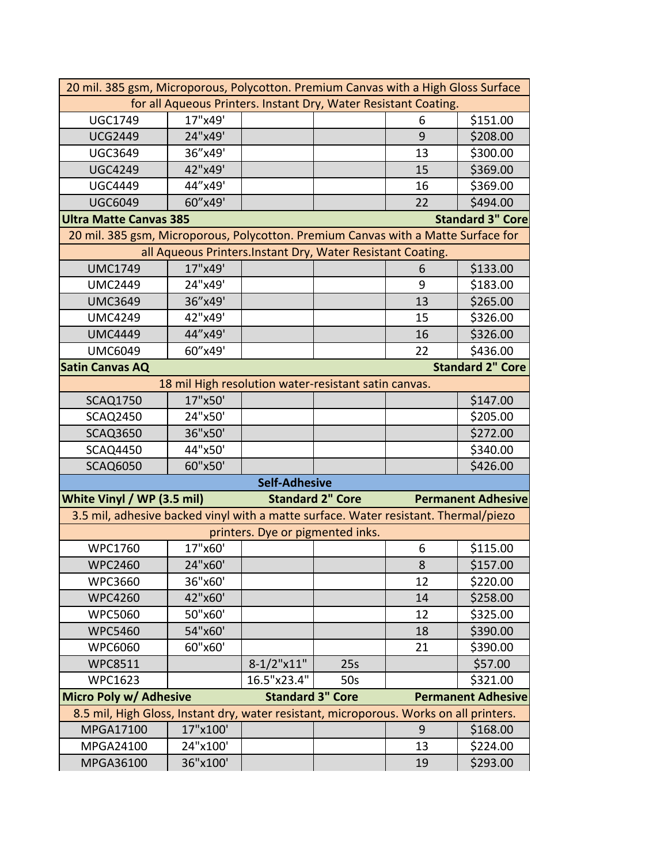|                                                                                        | 20 mil. 385 gsm, Microporous, Polycotton. Premium Canvas with a High Gloss Surface |                                  |                         |    |                           |  |  |
|----------------------------------------------------------------------------------------|------------------------------------------------------------------------------------|----------------------------------|-------------------------|----|---------------------------|--|--|
|                                                                                        | for all Aqueous Printers. Instant Dry, Water Resistant Coating.                    |                                  |                         |    |                           |  |  |
| <b>UGC1749</b>                                                                         | 17"x49'                                                                            |                                  |                         | 6  | \$151.00                  |  |  |
| <b>UCG2449</b>                                                                         | 24"x49'                                                                            |                                  |                         | 9  | \$208.00                  |  |  |
| <b>UGC3649</b>                                                                         | 36"x49'                                                                            |                                  |                         | 13 | \$300.00                  |  |  |
| <b>UGC4249</b>                                                                         | 42"x49'                                                                            |                                  |                         | 15 | \$369.00                  |  |  |
| <b>UGC4449</b>                                                                         | 44"x49'                                                                            |                                  |                         | 16 | \$369.00                  |  |  |
| <b>UGC6049</b>                                                                         | 60"x49'                                                                            |                                  |                         | 22 | \$494.00                  |  |  |
| <b>Ultra Matte Canvas 385</b>                                                          |                                                                                    |                                  |                         |    | <b>Standard 3" Core</b>   |  |  |
| 20 mil. 385 gsm, Microporous, Polycotton. Premium Canvas with a Matte Surface for      |                                                                                    |                                  |                         |    |                           |  |  |
|                                                                                        | all Aqueous Printers.Instant Dry, Water Resistant Coating.                         |                                  |                         |    |                           |  |  |
| <b>UMC1749</b>                                                                         | 17"x49'                                                                            |                                  |                         | 6  | \$133.00                  |  |  |
| <b>UMC2449</b>                                                                         | 24"x49'                                                                            |                                  |                         | 9  | \$183.00                  |  |  |
| <b>UMC3649</b>                                                                         | 36"x49'                                                                            |                                  |                         | 13 | \$265.00                  |  |  |
| <b>UMC4249</b>                                                                         | 42"x49'                                                                            |                                  |                         | 15 | \$326.00                  |  |  |
| <b>UMC4449</b>                                                                         | 44"x49'                                                                            |                                  |                         | 16 | \$326.00                  |  |  |
| <b>UMC6049</b>                                                                         | 60"x49'                                                                            |                                  |                         | 22 | \$436.00                  |  |  |
| <b>Standard 2" Core</b><br><b>Satin Canvas AQ</b>                                      |                                                                                    |                                  |                         |    |                           |  |  |
| 18 mil High resolution water-resistant satin canvas.                                   |                                                                                    |                                  |                         |    |                           |  |  |
| <b>SCAQ1750</b>                                                                        | 17"x50'                                                                            |                                  |                         |    | \$147.00                  |  |  |
| <b>SCAQ2450</b>                                                                        | 24"x50'                                                                            |                                  |                         |    | \$205.00                  |  |  |
| <b>SCAQ3650</b>                                                                        | 36"x50'                                                                            |                                  |                         |    | \$272.00                  |  |  |
| <b>SCAQ4450</b>                                                                        | 44"x50'                                                                            |                                  |                         |    | \$340.00                  |  |  |
| <b>SCAQ6050</b>                                                                        | 60"x50'                                                                            |                                  |                         |    | \$426.00                  |  |  |
|                                                                                        |                                                                                    | <b>Self-Adhesive</b>             |                         |    |                           |  |  |
| White Vinyl / WP (3.5 mil)                                                             |                                                                                    |                                  | <b>Standard 2" Core</b> |    | <b>Permanent Adhesive</b> |  |  |
| 3.5 mil, adhesive backed vinyl with a matte surface. Water resistant. Thermal/piezo    |                                                                                    |                                  |                         |    |                           |  |  |
|                                                                                        |                                                                                    | printers. Dye or pigmented inks. |                         |    |                           |  |  |
| <b>WPC1760</b>                                                                         | 17"x60'                                                                            |                                  |                         | 6  | \$115.00                  |  |  |
| <b>WPC2460</b>                                                                         | 24"x60'                                                                            |                                  |                         | 8  | \$157.00                  |  |  |
| <b>WPC3660</b>                                                                         | 36"x60'                                                                            |                                  |                         | 12 | \$220.00                  |  |  |
| <b>WPC4260</b>                                                                         | 42"x60'                                                                            |                                  |                         | 14 | \$258.00                  |  |  |
| <b>WPC5060</b>                                                                         | 50"x60'                                                                            |                                  |                         | 12 | \$325.00                  |  |  |
| <b>WPC5460</b>                                                                         | 54"x60'                                                                            |                                  |                         | 18 | \$390.00                  |  |  |
| <b>WPC6060</b>                                                                         | 60"x60'                                                                            |                                  |                         | 21 | \$390.00                  |  |  |
| <b>WPC8511</b>                                                                         |                                                                                    | $8-1/2$ "x11"                    | 25s                     |    | \$57.00                   |  |  |
| <b>WPC1623</b>                                                                         |                                                                                    | 16.5"x23.4"                      | 50s                     |    | \$321.00                  |  |  |
| Micro Poly w/ Adhesive                                                                 |                                                                                    | <b>Standard 3" Core</b>          |                         |    | <b>Permanent Adhesive</b> |  |  |
| 8.5 mil, High Gloss, Instant dry, water resistant, microporous. Works on all printers. |                                                                                    |                                  |                         |    |                           |  |  |
| MPGA17100                                                                              | 17"x100'                                                                           |                                  |                         | 9  | \$168.00                  |  |  |
| MPGA24100                                                                              | 24"x100'                                                                           |                                  |                         | 13 | \$224.00                  |  |  |
| MPGA36100                                                                              | 36"x100'                                                                           |                                  |                         | 19 | \$293.00                  |  |  |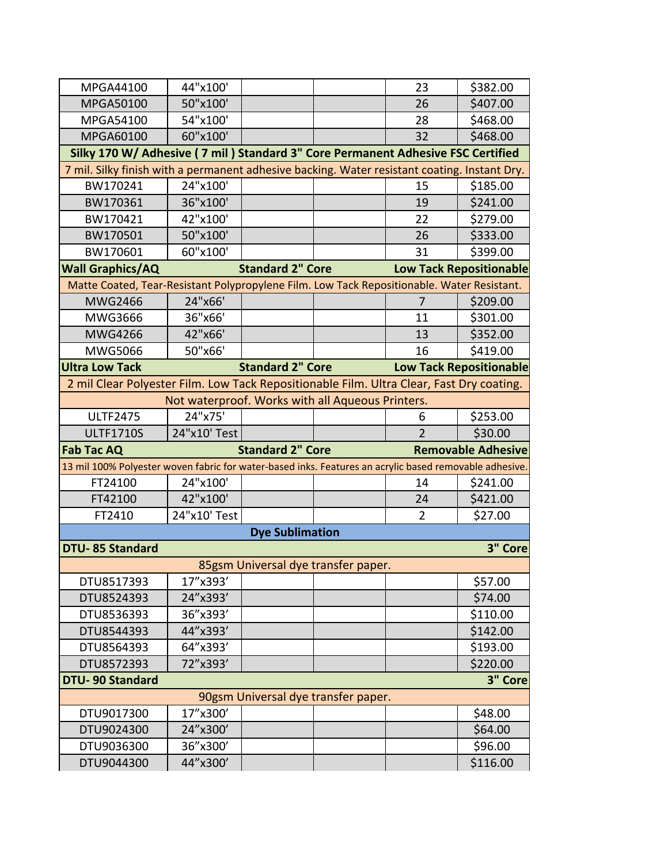| \$382.00<br>\$407.00<br>\$468.00<br>\$468.00<br>Silky 170 W/ Adhesive ( 7 mil ) Standard 3" Core Permanent Adhesive FSC Certified |  |  |  |  |  |  |
|-----------------------------------------------------------------------------------------------------------------------------------|--|--|--|--|--|--|
|                                                                                                                                   |  |  |  |  |  |  |
|                                                                                                                                   |  |  |  |  |  |  |
|                                                                                                                                   |  |  |  |  |  |  |
|                                                                                                                                   |  |  |  |  |  |  |
|                                                                                                                                   |  |  |  |  |  |  |
| 7 mil. Silky finish with a permanent adhesive backing. Water resistant coating. Instant Dry.                                      |  |  |  |  |  |  |
| \$185.00                                                                                                                          |  |  |  |  |  |  |
| \$241.00                                                                                                                          |  |  |  |  |  |  |
| \$279.00                                                                                                                          |  |  |  |  |  |  |
| \$333.00                                                                                                                          |  |  |  |  |  |  |
| \$399.00                                                                                                                          |  |  |  |  |  |  |
| <b>Low Tack Repositionable</b>                                                                                                    |  |  |  |  |  |  |
| Matte Coated, Tear-Resistant Polypropylene Film. Low Tack Repositionable. Water Resistant.                                        |  |  |  |  |  |  |
| \$209.00                                                                                                                          |  |  |  |  |  |  |
| \$301.00                                                                                                                          |  |  |  |  |  |  |
| \$352.00                                                                                                                          |  |  |  |  |  |  |
| \$419.00                                                                                                                          |  |  |  |  |  |  |
| <b>Low Tack Repositionable</b>                                                                                                    |  |  |  |  |  |  |
| 2 mil Clear Polyester Film. Low Tack Repositionable Film. Ultra Clear, Fast Dry coating.                                          |  |  |  |  |  |  |
|                                                                                                                                   |  |  |  |  |  |  |
|                                                                                                                                   |  |  |  |  |  |  |
| \$253.00                                                                                                                          |  |  |  |  |  |  |
| \$30.00                                                                                                                           |  |  |  |  |  |  |
| <b>Removable Adhesive</b>                                                                                                         |  |  |  |  |  |  |
| 13 mil 100% Polyester woven fabric for water-based inks. Features an acrylic based removable adhesive.                            |  |  |  |  |  |  |
| \$241.00                                                                                                                          |  |  |  |  |  |  |
| \$421.00                                                                                                                          |  |  |  |  |  |  |
| \$27.00                                                                                                                           |  |  |  |  |  |  |
|                                                                                                                                   |  |  |  |  |  |  |
| 3" Core                                                                                                                           |  |  |  |  |  |  |
|                                                                                                                                   |  |  |  |  |  |  |
| \$57.00                                                                                                                           |  |  |  |  |  |  |
| \$74.00                                                                                                                           |  |  |  |  |  |  |
| \$110.00                                                                                                                          |  |  |  |  |  |  |
| \$142.00                                                                                                                          |  |  |  |  |  |  |
| \$193.00                                                                                                                          |  |  |  |  |  |  |
| \$220.00                                                                                                                          |  |  |  |  |  |  |
| 3" Core                                                                                                                           |  |  |  |  |  |  |
|                                                                                                                                   |  |  |  |  |  |  |
| \$48.00                                                                                                                           |  |  |  |  |  |  |
| \$64.00                                                                                                                           |  |  |  |  |  |  |
| \$96.00                                                                                                                           |  |  |  |  |  |  |
|                                                                                                                                   |  |  |  |  |  |  |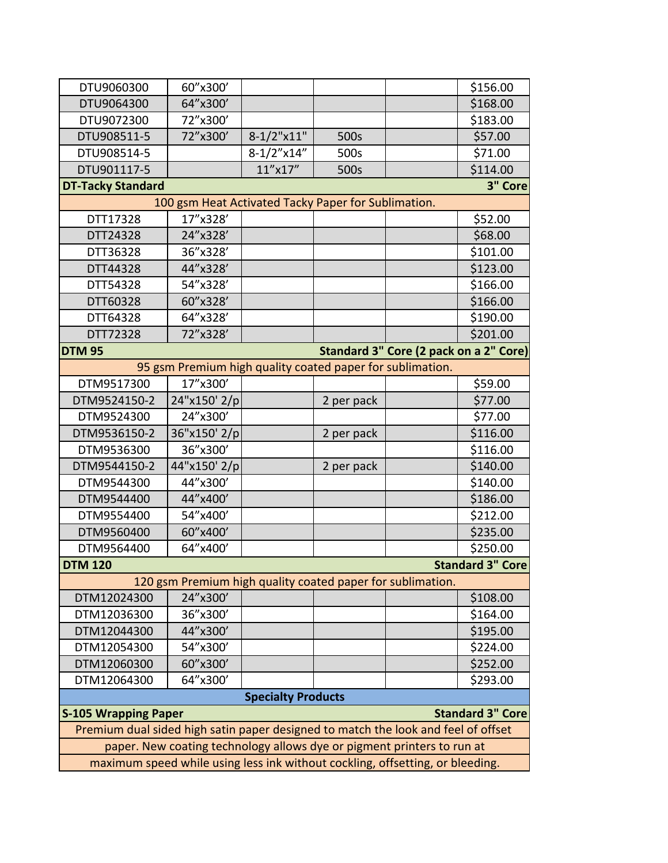| DTU9060300                                                                        | 60"x300'                                                               |                           |            |  | \$156.00                |  |
|-----------------------------------------------------------------------------------|------------------------------------------------------------------------|---------------------------|------------|--|-------------------------|--|
| DTU9064300                                                                        | 64"x300'                                                               |                           |            |  | \$168.00                |  |
| DTU9072300                                                                        | 72"x300'                                                               |                           |            |  | \$183.00                |  |
| DTU908511-5                                                                       | 72"x300'                                                               | $8-1/2$ "x11"             | 500s       |  | \$57.00                 |  |
| DTU908514-5                                                                       |                                                                        | $8-1/2''$ x14"            | 500s       |  | \$71.00                 |  |
| DTU901117-5                                                                       |                                                                        | 11"x17"                   | 500s       |  | \$114.00                |  |
| <b>DT-Tacky Standard</b>                                                          |                                                                        |                           |            |  | 3" Core                 |  |
|                                                                                   | 100 gsm Heat Activated Tacky Paper for Sublimation.                    |                           |            |  |                         |  |
| DTT17328                                                                          | 17"x328'                                                               |                           |            |  | \$52.00                 |  |
| DTT24328                                                                          | 24"x328'                                                               |                           |            |  | \$68.00                 |  |
| DTT36328                                                                          | 36"x328'                                                               |                           |            |  | \$101.00                |  |
| DTT44328                                                                          | 44"x328'                                                               |                           |            |  | \$123.00                |  |
| DTT54328                                                                          | 54"x328'                                                               |                           |            |  | \$166.00                |  |
| DTT60328                                                                          | 60"x328'                                                               |                           |            |  | \$166.00                |  |
| DTT64328                                                                          | 64"x328'                                                               |                           |            |  | \$190.00                |  |
| DTT72328                                                                          | 72"x328'                                                               |                           |            |  | \$201.00                |  |
| Standard 3" Core (2 pack on a 2" Core)<br><b>DTM 95</b>                           |                                                                        |                           |            |  |                         |  |
|                                                                                   | 95 gsm Premium high quality coated paper for sublimation.              |                           |            |  |                         |  |
| DTM9517300                                                                        | 17"x300'                                                               |                           |            |  | \$59.00                 |  |
| DTM9524150-2                                                                      | 24"x150' 2/p                                                           |                           | 2 per pack |  | \$77.00                 |  |
| DTM9524300                                                                        | 24"x300'                                                               |                           |            |  | \$77.00                 |  |
| DTM9536150-2                                                                      | 36"x150' 2/p                                                           |                           | 2 per pack |  | \$116.00                |  |
| DTM9536300                                                                        | 36"x300'                                                               |                           |            |  | \$116.00                |  |
| DTM9544150-2                                                                      | 44"x150' 2/p                                                           |                           | 2 per pack |  | \$140.00                |  |
| DTM9544300                                                                        | 44"x300'                                                               |                           |            |  | \$140.00                |  |
| DTM9544400                                                                        | 44"x400'                                                               |                           |            |  | \$186.00                |  |
| DTM9554400                                                                        | 54"x400'                                                               |                           |            |  | \$212.00                |  |
| DTM9560400                                                                        | 60"x400'                                                               |                           |            |  | \$235.00                |  |
| DTM9564400                                                                        | 64"x400'                                                               |                           |            |  | \$250.00                |  |
| <b>DTM 120</b>                                                                    |                                                                        |                           |            |  | <b>Standard 3" Core</b> |  |
|                                                                                   | 120 gsm Premium high quality coated paper for sublimation.             |                           |            |  |                         |  |
| DTM12024300                                                                       | 24"x300'                                                               |                           |            |  | \$108.00                |  |
| DTM12036300                                                                       | 36"x300'                                                               |                           |            |  | \$164.00                |  |
| DTM12044300                                                                       | 44"x300'                                                               |                           |            |  | \$195.00                |  |
| DTM12054300                                                                       | 54"x300'                                                               |                           |            |  | \$224.00                |  |
| DTM12060300                                                                       | 60"x300'                                                               |                           |            |  | \$252.00                |  |
| DTM12064300                                                                       | 64"x300'                                                               |                           |            |  | \$293.00                |  |
|                                                                                   |                                                                        | <b>Specialty Products</b> |            |  |                         |  |
| <b>S-105 Wrapping Paper</b>                                                       |                                                                        |                           |            |  | <b>Standard 3" Core</b> |  |
| Premium dual sided high satin paper designed to match the look and feel of offset |                                                                        |                           |            |  |                         |  |
|                                                                                   | paper. New coating technology allows dye or pigment printers to run at |                           |            |  |                         |  |
| maximum speed while using less ink without cockling, offsetting, or bleeding.     |                                                                        |                           |            |  |                         |  |